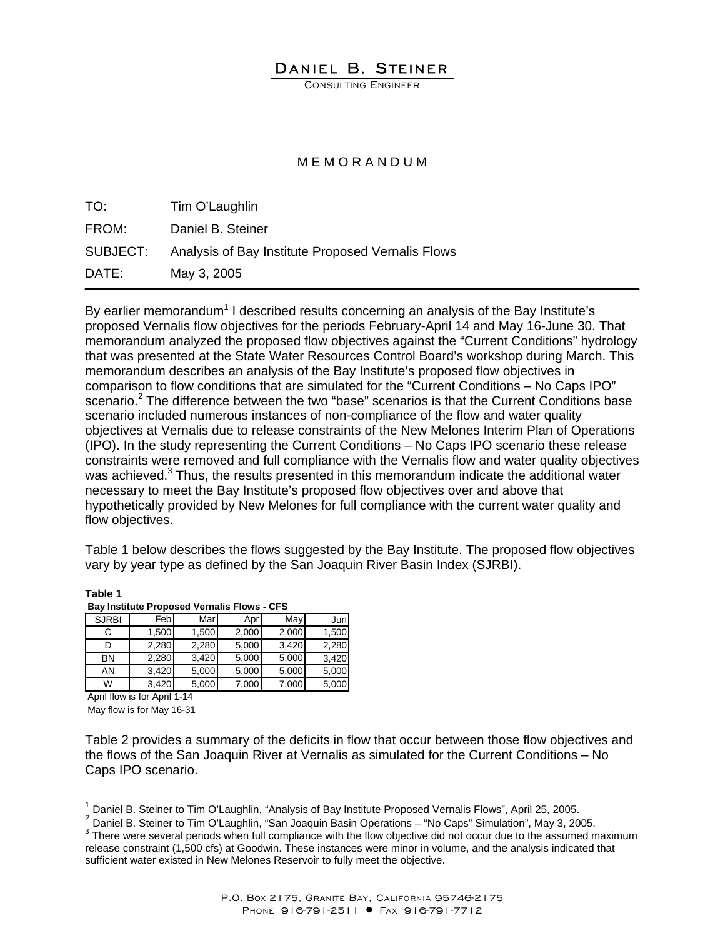## DANIEL B. STEINER

CONSULTING ENGINEER

## M E M O R A N D U M

| TO:      | Tim O'Laughlin                                    |
|----------|---------------------------------------------------|
| FROM:    | Daniel B. Steiner                                 |
| SUBJECT: | Analysis of Bay Institute Proposed Vernalis Flows |
| DATE:    | May 3, 2005                                       |

By earlier memorandum<sup>1</sup> I described results concerning an analysis of the Bay Institute's proposed Vernalis flow objectives for the periods February-April 14 and May 16-June 30. That memorandum analyzed the proposed flow objectives against the "Current Conditions" hydrology that was presented at the State Water Resources Control Board's workshop during March. This memorandum describes an analysis of the Bay Institute's proposed flow objectives in comparison to flow conditions that are simulated for the "Current Conditions – No Caps IPO" scenario.<sup>2</sup> The difference between the two "base" scenarios is that the Current Conditions base scenario included numerous instances of non-compliance of the flow and water quality objectives at Vernalis due to release constraints of the New Melones Interim Plan of Operations (IPO). In the study representing the Current Conditions – No Caps IPO scenario these release constraints were removed and full compliance with the Vernalis flow and water quality objectives was achieved.<sup>3</sup> Thus, the results presented in this memorandum indicate the additional water necessary to meet the Bay Institute's proposed flow objectives over and above that hypothetically provided by New Melones for full compliance with the current water quality and flow objectives.

Table 1 below describes the flows suggested by the Bay Institute. The proposed flow objectives vary by year type as defined by the San Joaquin River Basin Index (SJRBI).

| <b>Bay Institute Proposed Vernalis Flows - CFS</b> |       |       |       |       |       |  |  |  |  |  |  |  |  |
|----------------------------------------------------|-------|-------|-------|-------|-------|--|--|--|--|--|--|--|--|
| <b>SJRBI</b>                                       | Feb   | Mar   | Apr   | May   | Jun   |  |  |  |  |  |  |  |  |
| С                                                  | 1,500 | 1,500 | 2,000 | 2,000 | 1,500 |  |  |  |  |  |  |  |  |
| D                                                  | 2,280 | 2,280 | 5,000 | 3,420 | 2,280 |  |  |  |  |  |  |  |  |
| <b>BN</b>                                          | 2,280 | 3,420 | 5,000 | 5,000 | 3,420 |  |  |  |  |  |  |  |  |
| AN                                                 | 3,420 | 5,000 | 5,000 | 5,000 | 5,000 |  |  |  |  |  |  |  |  |
| W                                                  | 3,420 | 5,000 | 7,000 | 7,000 | 5,000 |  |  |  |  |  |  |  |  |

**Table 1** 

April flow is for April 1-14 May flow is for May 16-31

 $\overline{\phantom{a}}$ 

Table 2 provides a summary of the deficits in flow that occur between those flow objectives and the flows of the San Joaquin River at Vernalis as simulated for the Current Conditions – No Caps IPO scenario.

<sup>2</sup> Daniel B. Steiner to Tim O'Laughlin, "San Joaquin Basin Operations – "No Caps" Simulation", May 3, 2005.

Daniel B. Steiner to Tim O'Laughlin, "Analysis of Bay Institute Proposed Vernalis Flows", April 25, 2005.

<sup>&</sup>lt;sup>3</sup> There were several periods when full compliance with the flow objective did not occur due to the assumed maximum release constraint (1,500 cfs) at Goodwin. These instances were minor in volume, and the analysis indicated that sufficient water existed in New Melones Reservoir to fully meet the objective.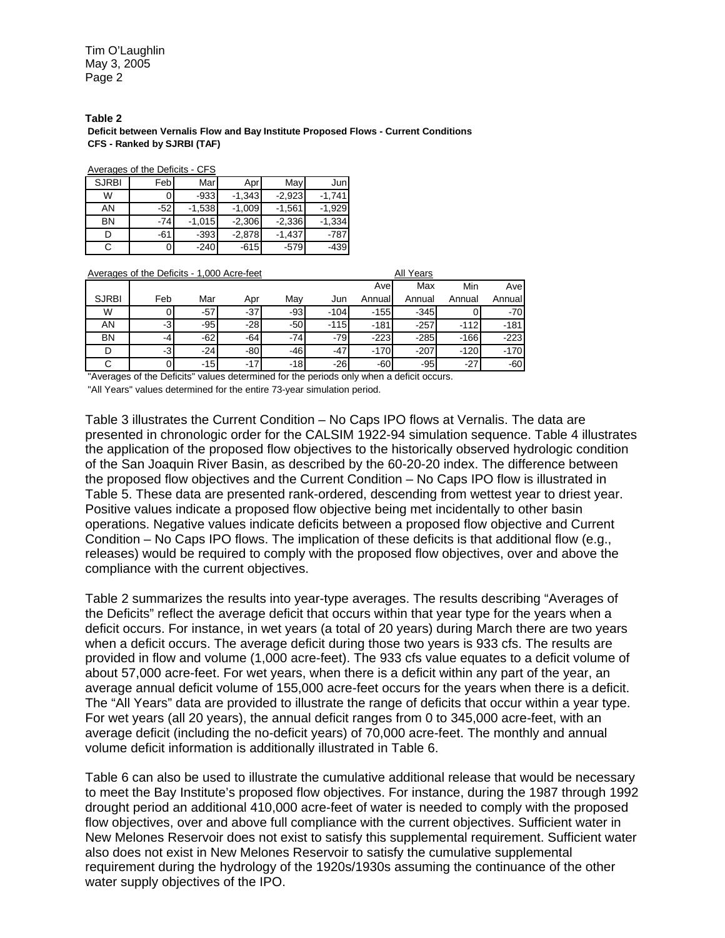Tim O'Laughlin May 3, 2005 Page 2

**Table 2 Deficit between Vernalis Flow and Bay Institute Proposed Flows - Current Conditions CFS - Ranked by SJRBI (TAF)**

Averages of the Deficits - CFS

| <b>SJRBI</b> | Feb   | Marl     | Aprl     | May      | Jun      |
|--------------|-------|----------|----------|----------|----------|
| W            | 0     | $-933$   | $-1,343$ | $-2,923$ | $-1.741$ |
| AN           | $-52$ | $-1,538$ | $-1,009$ | $-1.561$ | $-1.929$ |
| BN           | $-74$ | $-1,015$ | $-2,306$ | $-2,336$ | $-1,334$ |
|              | -61   | $-393$   | $-2,878$ | $-1,437$ | $-787$   |
|              | 0     | $-240$   | $-615$   | $-579$   | $-439$   |

| Averages of the Deficits - 1,000 Acre-feet |      |       |       |       | All Years |        |        |        |        |  |  |  |  |
|--------------------------------------------|------|-------|-------|-------|-----------|--------|--------|--------|--------|--|--|--|--|
|                                            |      |       |       |       |           | Avel   | Max    | Min    | Avel   |  |  |  |  |
| <b>SJRBI</b>                               | Feb  | Mar   | Apr   | Mav   | Jun       | Annual | Annual | Annual | Annual |  |  |  |  |
| W                                          | O    | -57   | $-37$ | $-93$ | $-104$    | $-155$ | $-345$ |        | $-70$  |  |  |  |  |
| ΑN                                         | $-3$ | $-95$ | $-28$ | $-50$ | $-115$    | $-181$ | $-257$ | $-112$ | $-181$ |  |  |  |  |
| BN                                         | -4   | $-62$ | $-64$ | $-74$ | $-79$     | $-223$ | $-285$ | $-166$ | $-223$ |  |  |  |  |
|                                            | $-3$ | $-24$ | $-80$ | $-46$ | $-47$     | $-170$ | $-207$ | $-120$ | $-170$ |  |  |  |  |
| С                                          | o    | $-15$ | $-17$ | $-18$ | $-26$     | $-60$  | $-95$  | $-27$  | $-60$  |  |  |  |  |

"Averages of the Deficits" values determined for the periods only when a deficit occurs.

"All Years" values determined for the entire 73-year simulation period.

Table 3 illustrates the Current Condition – No Caps IPO flows at Vernalis. The data are presented in chronologic order for the CALSIM 1922-94 simulation sequence. Table 4 illustrates the application of the proposed flow objectives to the historically observed hydrologic condition of the San Joaquin River Basin, as described by the 60-20-20 index. The difference between the proposed flow objectives and the Current Condition – No Caps IPO flow is illustrated in Table 5. These data are presented rank-ordered, descending from wettest year to driest year. Positive values indicate a proposed flow objective being met incidentally to other basin operations. Negative values indicate deficits between a proposed flow objective and Current Condition – No Caps IPO flows. The implication of these deficits is that additional flow (e.g., releases) would be required to comply with the proposed flow objectives, over and above the compliance with the current objectives.

Table 2 summarizes the results into year-type averages. The results describing "Averages of the Deficits" reflect the average deficit that occurs within that year type for the years when a deficit occurs. For instance, in wet years (a total of 20 years) during March there are two years when a deficit occurs. The average deficit during those two years is 933 cfs. The results are provided in flow and volume (1,000 acre-feet). The 933 cfs value equates to a deficit volume of about 57,000 acre-feet. For wet years, when there is a deficit within any part of the year, an average annual deficit volume of 155,000 acre-feet occurs for the years when there is a deficit. The "All Years" data are provided to illustrate the range of deficits that occur within a year type. For wet years (all 20 years), the annual deficit ranges from 0 to 345,000 acre-feet, with an average deficit (including the no-deficit years) of 70,000 acre-feet. The monthly and annual volume deficit information is additionally illustrated in Table 6.

Table 6 can also be used to illustrate the cumulative additional release that would be necessary to meet the Bay Institute's proposed flow objectives. For instance, during the 1987 through 1992 drought period an additional 410,000 acre-feet of water is needed to comply with the proposed flow objectives, over and above full compliance with the current objectives. Sufficient water in New Melones Reservoir does not exist to satisfy this supplemental requirement. Sufficient water also does not exist in New Melones Reservoir to satisfy the cumulative supplemental requirement during the hydrology of the 1920s/1930s assuming the continuance of the other water supply objectives of the IPO.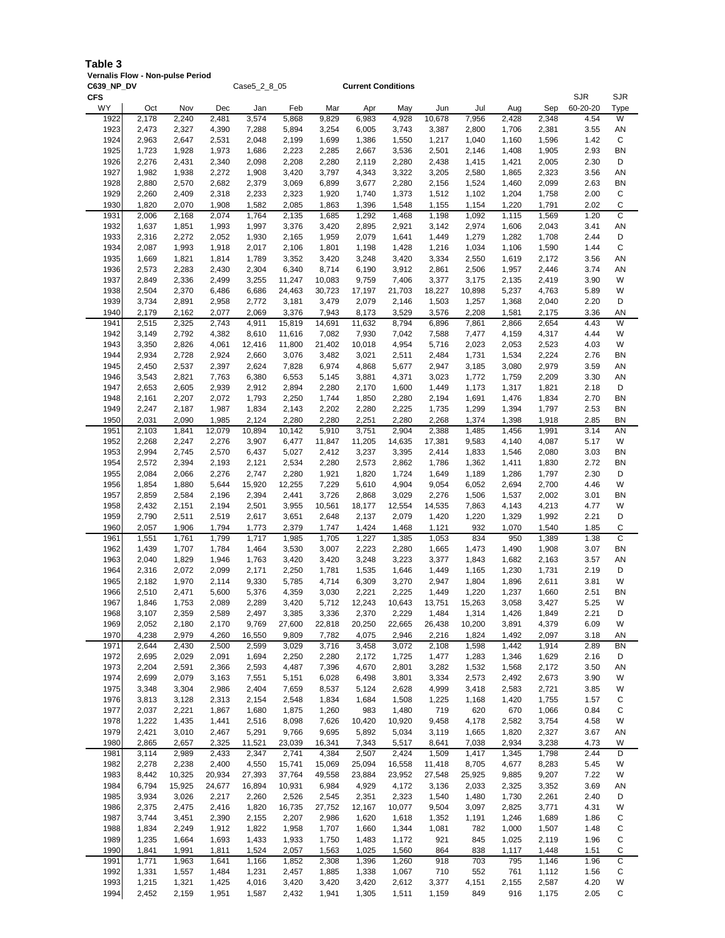## **Table 3**

**Vernalis Flow - Non-pulse Period**

| C639_NP_DV       |                | Case5_2_8_05   |                |                 |                 |                 | <b>Current Conditions</b> |                 |                 |                 |                |                |                        |                        |
|------------------|----------------|----------------|----------------|-----------------|-----------------|-----------------|---------------------------|-----------------|-----------------|-----------------|----------------|----------------|------------------------|------------------------|
| <b>CFS</b><br>WY | Oct            | Nov            | Dec            | Jan             | Feb             | Mar             | Apr                       | May             | Jun             | Jul             | Aug            | Sep            | <b>SJR</b><br>60-20-20 | <b>SJR</b><br>Type     |
| 1922             | 2,178          | 2,240          | 2,481          | 3,574           | 5,868           | 9,829           | 6,983                     | 4,928           | 10,678          | 7,956           | 2,428          | 2,348          | 4.54                   | W                      |
| 1923             | 2,473          | 2,327          | 4,390          | 7,288           | 5,894           | 3,254           | 6,005                     | 3,743           | 3,387           | 2,800           | 1,706          | 2,381          | 3.55                   | AN                     |
| 1924<br>1925     | 2,963<br>1,723 | 2,647<br>1,928 | 2,531<br>1,973 | 2,048<br>1,686  | 2,199<br>2,223  | 1,699<br>2,285  | 1,386<br>2,667            | 1,550<br>3,536  | 1,217<br>2,501  | 1,040<br>2,146  | 1,160<br>1,408 | 1,596<br>1,905 | 1.42<br>2.93           | C<br>BN                |
| 1926             | 2,276          | 2,431          | 2,340          | 2,098           | 2,208           | 2,280           | 2,119                     | 2,280           | 2,438           | 1,415           | 1,421          | 2,005          | 2.30                   | D                      |
| 1927             | 1,982          | 1,938          | 2,272          | 1,908           | 3,420           | 3,797           | 4,343                     | 3,322           | 3,205           | 2,580           | 1,865          | 2,323          | 3.56                   | AN                     |
| 1928             | 2,880          | 2,570          | 2,682          | 2,379           | 3,069           | 6,899           | 3,677                     | 2,280           | 2,156           | 1,524           | 1,460          | 2,099          | 2.63                   | BN                     |
| 1929<br>1930     | 2,260<br>1,820 | 2,409<br>2,070 | 2,318<br>1,908 | 2,233<br>1,582  | 2,323<br>2,085  | 1,920<br>1,863  | 1,740<br>1,396            | 1,373<br>1,548  | 1,512<br>1,155  | 1,102<br>1,154  | 1,204<br>1,220 | 1,758<br>1,791 | 2.00<br>2.02           | С<br>C                 |
| 1931             | 2,006          | 2,168          | 2,074          | 1,764           | 2,135           | 1,685           | 1,292                     | 1,468           | 1,198           | 1,092           | 1,115          | 1,569          | 1.20                   | C                      |
| 1932             | 1,637          | 1,851          | 1,993          | 1,997           | 3,376           | 3,420           | 2,895                     | 2,921           | 3,142           | 2,974           | 1,606          | 2,043          | 3.41                   | ΑN                     |
| 1933             | 2,316          | 2,272          | 2,052          | 1,930           | 2,165           | 1,959           | 2,079                     | 1,641           | 1,449           | 1,279           | 1,282          | 1,708          | 2.44                   | D                      |
| 1934<br>1935     | 2,087<br>1,669 | 1,993<br>1,821 | 1,918<br>1,814 | 2,017<br>1,789  | 2,106<br>3,352  | 1,801<br>3,420  | 1,198<br>3,248            | 1,428<br>3,420  | 1,216<br>3,334  | 1,034<br>2,550  | 1,106<br>1,619 | 1,590<br>2,172 | 1.44<br>3.56           | C<br>AN                |
| 1936             | 2,573          | 2,283          | 2,430          | 2,304           | 6,340           | 8,714           | 6,190                     | 3,912           | 2,861           | 2,506           | 1,957          | 2,446          | 3.74                   | AN                     |
| 1937             | 2,849          | 2,336          | 2,499          | 3,255           | 11,247          | 10,083          | 9,759                     | 7,406           | 3,377           | 3,175           | 2,135          | 2,419          | 3.90                   | W                      |
| 1938             | 2,504          | 2,370          | 6,486          | 6,686           | 24,463          | 30,723          | 17,197                    | 21,703          | 18,227          | 10,898          | 5,237          | 4,763          | 5.89                   | W                      |
| 1939<br>1940     | 3,734<br>2,179 | 2,891<br>2,162 | 2,958<br>2,077 | 2,772<br>2,069  | 3,181<br>3,376  | 3,479<br>7,943  | 2,079<br>8,173            | 2,146<br>3,529  | 1,503<br>3,576  | 1,257<br>2,208  | 1,368<br>1,581 | 2,040<br>2,175 | 2.20<br>3.36           | D<br>AN                |
| 1941             | 2,515          | 2,325          | 2,743          | 4,911           | 15,819          | 14,691          | 11,632                    | 8,794           | 6,896           | 7,861           | 2,866          | 2,654          | 4.43                   | W                      |
| 1942             | 3,149          | 2,792          | 4,382          | 8,610           | 11,616          | 7,082           | 7,930                     | 7,042           | 7,588           | 7,477           | 4,159          | 4,317          | 4.44                   | W                      |
| 1943<br>1944     | 3,350<br>2,934 | 2,826<br>2,728 | 4,061<br>2,924 | 12,416<br>2,660 | 11,800<br>3,076 | 21,402<br>3,482 | 10,018<br>3,021           | 4,954<br>2,511  | 5,716<br>2,484  | 2,023<br>1,731  | 2,053<br>1,534 | 2,523<br>2,224 | 4.03<br>2.76           | W<br><b>BN</b>         |
| 1945             | 2,450          | 2,537          | 2,397          | 2,624           | 7,828           | 6,974           | 4,868                     | 5,677           | 2,947           | 3,185           | 3,080          | 2,979          | 3.59                   | AN                     |
| 1946             | 3,543          | 2,821          | 7,763          | 6,380           | 6,553           | 5,145           | 3,881                     | 4,371           | 3,023           | 1,772           | 1,759          | 2,209          | 3.30                   | AN                     |
| 1947             | 2,653          | 2,605          | 2,939          | 2,912           | 2,894           | 2,280           | 2,170                     | 1,600           | 1,449           | 1,173           | 1,317          | 1,821          | 2.18                   | D                      |
| 1948<br>1949     | 2,161<br>2,247 | 2,207<br>2,187 | 2,072<br>1,987 | 1,793<br>1,834  | 2,250<br>2,143  | 1,744<br>2,202  | 1,850<br>2,280            | 2,280<br>2,225  | 2,194<br>1,735  | 1,691<br>1,299  | 1,476<br>1,394 | 1,834<br>1,797 | 2.70<br>2.53           | <b>BN</b><br>BN        |
| 1950             | 2,031          | 2,090          | 1,985          | 2,124           | 2,280           | 2,280           | 2,251                     | 2,280           | 2,268           | 1,374           | 1,398          | 1,918          | 2.85                   | BN                     |
| 1951             | 2,103          | 1,841          | 12,079         | 10,894          | 10,142          | 5,910           | 3,751                     | 2,904           | 2,388           | 1,485           | 1,456          | 1,991          | 3.14                   | AN                     |
| 1952             | 2,268          | 2,247          | 2,276          | 3,907           | 6,477           | 11,847          | 11,205                    | 14,635          | 17,381          | 9,583           | 4,140          | 4,087          | 5.17                   | W                      |
| 1953<br>1954     | 2,994<br>2,572 | 2,745<br>2,394 | 2,570<br>2,193 | 6,437<br>2,121  | 5,027<br>2,534  | 2,412<br>2,280  | 3,237<br>2,573            | 3,395<br>2,862  | 2,414<br>1,786  | 1,833<br>1,362  | 1,546<br>1,411 | 2,080<br>1,830 | 3.03<br>2.72           | <b>BN</b><br><b>BN</b> |
| 1955             | 2,084          | 2,066          | 2,276          | 2,747           | 2,280           | 1,921           | 1,820                     | 1,724           | 1,649           | 1,189           | 1,286          | 1,797          | 2.30                   | D                      |
| 1956             | 1,854          | 1,880          | 5,644          | 15,920          | 12,255          | 7,229           | 5,610                     | 4,904           | 9,054           | 6,052           | 2,694          | 2,700          | 4.46                   | W                      |
| 1957             | 2,859          | 2,584          | 2,196          | 2,394           | 2,441           | 3,726           | 2,868                     | 3,029           | 2,276           | 1,506           | 1,537          | 2,002          | 3.01                   | BN                     |
| 1958<br>1959     | 2,432<br>2,790 | 2,151<br>2,511 | 2,194<br>2,519 | 2,501<br>2,617  | 3,955<br>3,651  | 10,561<br>2,648 | 18,177<br>2,137           | 12,554<br>2,079 | 14,535<br>1,420 | 7,863<br>1,220  | 4,143<br>1,329 | 4,213<br>1,992 | 4.77<br>2.21           | W<br>D                 |
| 1960             | 2,057          | 1,906          | 1,794          | 1,773           | 2,379           | 1,747           | 1,424                     | 1,468           | 1,121           | 932             | 1,070          | 1,540          | 1.85                   | С                      |
| 1961             | 1,551          | 1,761          | 1,799          | 1,717           | 1,985           | 1,705           | 1,227                     | 1,385           | 1,053           | 834             | 950            | 1,389          | 1.38                   | C                      |
| 1962<br>1963     | 1,439<br>2,040 | 1,707<br>1,829 | 1,784<br>1,946 | 1,464<br>1,763  | 3,530<br>3,420  | 3,007<br>3,420  | 2,223<br>3,248            | 2,280<br>3,223  | 1,665<br>3,377  | 1,473<br>1,843  | 1,490<br>1,682 | 1,908<br>2,163 | 3.07<br>3.57           | <b>BN</b><br>ΑN        |
| 1964             | 2,316          | 2,072          | 2,099          | 2,171           | 2,250           | 1,781           | 1,535                     | 1,646           | 1,449           | 1,165           | 1,230          | 1,731          | 2.19                   | D                      |
| 1965             | 2,182          | 1,970          | 2,114          | 9,330           | 5,785           | 4,714           | 6,309                     | 3,270           | 2,947           | 1,804           | 1,896          | 2,611          | 3.81                   | W                      |
| 1966             | 2,510          | 2,471          | 5,600          | 5,376           | 4,359           | 3,030           | 2,221                     | 2,225           | 1,449           | 1,220           | 1,237          | 1,660          | 2.51                   | BN                     |
| 1967<br>1968     | 1,846<br>3,107 | 1,753<br>2,359 | 2,089<br>2,589 | 2,289<br>2,497  | 3,420<br>3,385  | 5,712<br>3,336  | 12,243<br>2,370           | 10,643<br>2,229 | 13,751<br>1,484 | 15,263<br>1,314 | 3,058<br>1,426 | 3,427<br>1,849 | 5.25<br>2.21           | W<br>D                 |
| 1969             | 2,052          | 2,180          | 2,170          | 9,769           | 27,600          | 22,818          | 20,250                    | 22,665          | 26,438          | 10,200          | 3,891          | 4,379          | 6.09                   | W                      |
| 1970             | 4,238          | 2,979          | 4,260          | 16,550          | 9,809           | 7,782           | 4,075                     | 2,946           | 2,216           | 1,824           | 1,492          | 2,097          | 3.18                   | ΑN                     |
| 1971<br>1972     | 2,644<br>2,695 | 2,430<br>2,029 | 2,500<br>2,091 | 2,599<br>1,694  | 3,029<br>2,250  | 3,716<br>2,280  | 3,458<br>2,172            | 3,072<br>1,725  | 2,108<br>1,477  | 1,598<br>1,283  | 1,442<br>1,346 | 1,914<br>1,629 | 2.89<br>2.16           | <b>BN</b><br>D         |
| 1973             | 2,204          | 2,591          | 2,366          | 2,593           | 4,487           | 7,396           | 4,670                     | 2,801           | 3,282           | 1,532           | 1,568          | 2,172          | 3.50                   | AN                     |
| 1974             | 2,699          | 2,079          | 3,163          | 7,551           | 5,151           | 6,028           | 6,498                     | 3,801           | 3,334           | 2,573           | 2,492          | 2,673          | 3.90                   | W                      |
| 1975             | 3,348          | 3,304          | 2,986          | 2,404           | 7,659           | 8,537           | 5,124                     | 2,628           | 4,999           | 3,418           | 2,583          | 2,721          | 3.85                   | W                      |
| 1976<br>1977     | 3,813<br>2,037 | 3,128<br>2,221 | 2,313<br>1,867 | 2,154<br>1,680  | 2,548<br>1,875  | 1,834<br>1,260  | 1,684<br>983              | 1,508<br>1,480  | 1,225<br>719    | 1,168<br>620    | 1,420<br>670   | 1,755<br>1,066 | 1.57<br>0.84           | С<br>С                 |
| 1978             | 1,222          | 1,435          | 1,441          | 2,516           | 8,098           | 7,626           | 10,420                    | 10,920          | 9,458           | 4,178           | 2,582          | 3,754          | 4.58                   | W                      |
| 1979             | 2,421          | 3,010          | 2,467          | 5,291           | 9,766           | 9,695           | 5,892                     | 5,034           | 3,119           | 1,665           | 1,820          | 2,327          | 3.67                   | AN                     |
| 1980             | 2,865          | 2,657          | 2,325          | 11,521          | 23,039          | 16,341          | 7,343                     | 5,517           | 8,641           | 7,038           | 2,934          | 3,238          | 4.73                   | W                      |
| 1981<br>1982     | 3,114<br>2,278 | 2,989<br>2,238 | 2,433<br>2,400 | 2,347<br>4,550  | 2,741<br>15,741 | 4,384<br>15,069 | 2,507<br>25,094           | 2,424<br>16,558 | 1,509<br>11,418 | 1,417<br>8,705  | 1,345<br>4,677 | 1,798<br>8,283 | 2.44<br>5.45           | D<br>W                 |
| 1983             | 8,442          | 10,325         | 20,934         | 27,393          | 37,764          | 49,558          | 23,884                    | 23,952          | 27,548          | 25,925          | 9,885          | 9,207          | 7.22                   | W                      |
| 1984             | 6,794          | 15,925         | 24,677         | 16,894          | 10,931          | 6,984           | 4,929                     | 4,172           | 3,136           | 2,033           | 2,325          | 3,352          | 3.69                   | ΑN                     |
| 1985             | 3,934          | 3,026          | 2,217          | 2,260           | 2,526           | 2,545           | 2,351                     | 2,323           | 1,540           | 1,480           | 1,730          | 2,261          | 2.40                   | D                      |
| 1986<br>1987     | 2,375<br>3,744 | 2,475<br>3,451 | 2,416<br>2,390 | 1,820<br>2,155  | 16,735<br>2,207 | 27,752<br>2,986 | 12,167<br>1,620           | 10,077<br>1,618 | 9,504<br>1,352  | 3,097<br>1,191  | 2,825<br>1,246 | 3,771<br>1,689 | 4.31<br>1.86           | W<br>С                 |
| 1988             | 1,834          | 2,249          | 1,912          | 1,822           | 1,958           | 1,707           | 1,660                     | 1,344           | 1,081           | 782             | 1,000          | 1,507          | 1.48                   | С                      |
| 1989             | 1,235          | 1,664          | 1,693          | 1,433           | 1,933           | 1,750           | 1,483                     | 1,172           | 921             | 845             | 1,025          | 2,119          | 1.96                   | С                      |
| 1990<br>1991     | 1,841<br>1,771 | 1,991<br>1,963 | 1,811<br>1,641 | 1,524<br>1,166  | 2,057<br>1,852  | 1,563<br>2,308  | 1,025<br>1,396            | 1,560<br>1,260  | 864<br>918      | 838<br>703      | 1,117<br>795   | 1,448<br>1,146 | 1.51<br>1.96           | С<br>С                 |
| 1992             | 1,331          | 1,557          | 1,484          | 1,231           | 2,457           | 1,885           | 1,338                     | 1,067           | 710             | 552             | 761            | 1,112          | 1.56                   | $\mathbf C$            |
| 1993             | 1,215          | 1,321          | 1,425          | 4,016           | 3,420           | 3,420           | 3,420                     | 2,612           | 3,377           | 4,151           | 2,155          | 2,587          | 4.20                   | W                      |

1994 2,452 2,159 1,951 1,587 2,432 1,941 1,305 1,511 1,159 849 916 1,175 2.05 C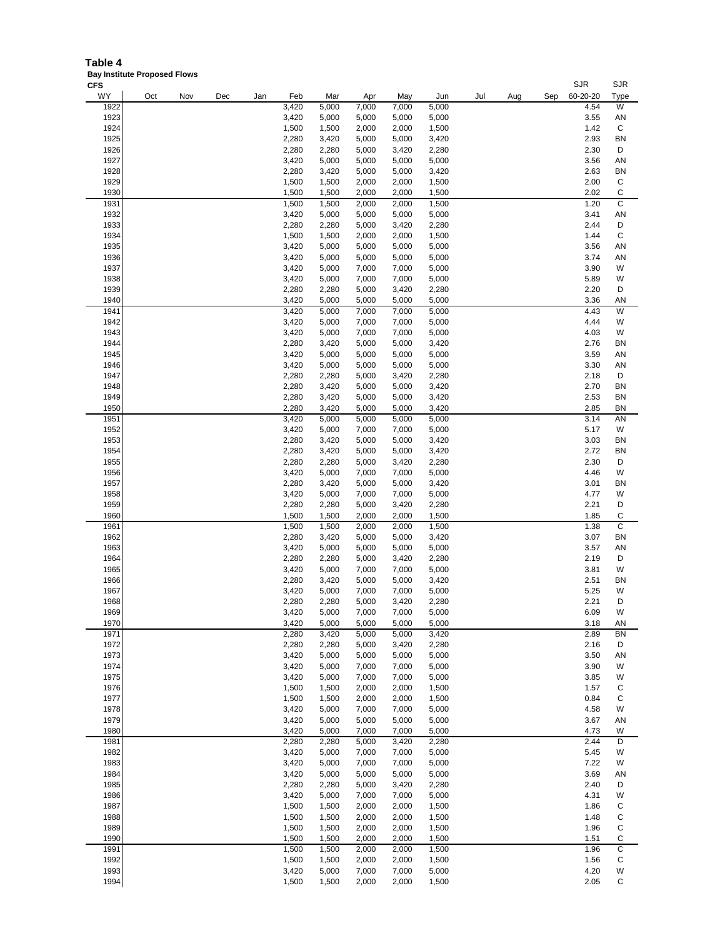**Table 4 Bay Institute Proposed Flows**

| <b>CFS</b> |     |     |     |     |       |       |       |       |       |     |     |     | <b>SJR</b> | <b>SJR</b>  |
|------------|-----|-----|-----|-----|-------|-------|-------|-------|-------|-----|-----|-----|------------|-------------|
| WY         | Oct | Nov | Dec | Jan | Feb   | Mar   | Apr   | May   | Jun   | Jul | Aug | Sep | 60-20-20   | Type        |
| 1922       |     |     |     |     | 3,420 | 5,000 | 7,000 | 7,000 | 5,000 |     |     |     | 4.54       | W           |
| 1923       |     |     |     |     | 3,420 | 5,000 | 5,000 | 5,000 | 5,000 |     |     |     | 3.55       | AN          |
| 1924       |     |     |     |     | 1,500 | 1,500 | 2,000 | 2,000 | 1,500 |     |     |     | 1.42       | С           |
| 1925       |     |     |     |     | 2,280 | 3,420 | 5,000 | 5,000 | 3,420 |     |     |     | 2.93       | <b>BN</b>   |
| 1926       |     |     |     |     | 2,280 | 2,280 | 5,000 | 3,420 | 2,280 |     |     |     | 2.30       | D           |
| 1927       |     |     |     |     | 3,420 | 5,000 | 5,000 | 5,000 | 5,000 |     |     |     | 3.56       | AN          |
| 1928       |     |     |     |     | 2,280 | 3,420 | 5,000 | 5,000 | 3,420 |     |     |     | 2.63       | <b>BN</b>   |
| 1929       |     |     |     |     |       |       |       |       |       |     |     |     | 2.00       | $\mathsf C$ |
|            |     |     |     |     | 1,500 | 1,500 | 2,000 | 2,000 | 1,500 |     |     |     |            |             |
| 1930       |     |     |     |     | 1,500 | 1,500 | 2,000 | 2,000 | 1,500 |     |     |     | 2.02       | $\mathsf C$ |
| 1931       |     |     |     |     | 1,500 | 1,500 | 2,000 | 2,000 | 1,500 |     |     |     | 1.20       | C           |
| 1932       |     |     |     |     | 3,420 | 5,000 | 5,000 | 5,000 | 5,000 |     |     |     | 3.41       | AN          |
| 1933       |     |     |     |     | 2,280 | 2,280 | 5,000 | 3,420 | 2,280 |     |     |     | 2.44       | D           |
| 1934       |     |     |     |     | 1,500 | 1,500 | 2,000 | 2,000 | 1,500 |     |     |     | 1.44       | C           |
| 1935       |     |     |     |     | 3,420 | 5,000 | 5,000 | 5,000 | 5,000 |     |     |     | 3.56       | AN          |
| 1936       |     |     |     |     | 3,420 | 5,000 | 5,000 | 5,000 | 5,000 |     |     |     | 3.74       | AN          |
| 1937       |     |     |     |     | 3,420 | 5,000 | 7,000 | 7,000 | 5,000 |     |     |     | 3.90       | W           |
| 1938       |     |     |     |     | 3,420 | 5,000 | 7,000 | 7,000 | 5,000 |     |     |     | 5.89       | W           |
| 1939       |     |     |     |     | 2,280 | 2,280 | 5,000 | 3,420 | 2,280 |     |     |     | 2.20       | D           |
| 1940       |     |     |     |     | 3,420 | 5,000 | 5,000 | 5,000 | 5,000 |     |     |     | 3.36       | AN          |
| 1941       |     |     |     |     | 3,420 | 5,000 | 7,000 | 7,000 | 5,000 |     |     |     | 4.43       | W           |
| 1942       |     |     |     |     | 3,420 | 5,000 | 7,000 | 7,000 | 5,000 |     |     |     | 4.44       | W           |
| 1943       |     |     |     |     | 3,420 | 5,000 | 7,000 | 7,000 | 5,000 |     |     |     | 4.03       | W           |
| 1944       |     |     |     |     | 2,280 | 3,420 | 5,000 | 5,000 | 3,420 |     |     |     | 2.76       | <b>BN</b>   |
| 1945       |     |     |     |     | 3,420 | 5,000 | 5,000 | 5,000 | 5,000 |     |     |     | 3.59       | AN          |
| 1946       |     |     |     |     | 3,420 | 5,000 | 5,000 | 5,000 | 5,000 |     |     |     | 3.30       | AN          |
| 1947       |     |     |     |     | 2,280 | 2,280 | 5,000 | 3,420 | 2,280 |     |     |     | 2.18       | D           |
| 1948       |     |     |     |     | 2,280 | 3,420 | 5,000 | 5,000 | 3,420 |     |     |     | 2.70       | <b>BN</b>   |
| 1949       |     |     |     |     | 2,280 | 3,420 | 5,000 | 5,000 | 3,420 |     |     |     | 2.53       | <b>BN</b>   |
| 1950       |     |     |     |     | 2,280 | 3,420 | 5,000 | 5,000 | 3,420 |     |     |     | 2.85       | <b>BN</b>   |
| 1951       |     |     |     |     | 3,420 | 5,000 | 5,000 | 5,000 | 5,000 |     |     |     | 3.14       | AN          |
| 1952       |     |     |     |     | 3,420 | 5,000 | 7,000 | 7,000 | 5,000 |     |     |     | 5.17       | W           |
| 1953       |     |     |     |     | 2,280 | 3,420 | 5,000 | 5,000 | 3,420 |     |     |     | 3.03       | <b>BN</b>   |
| 1954       |     |     |     |     | 2,280 |       |       | 5,000 | 3,420 |     |     |     | 2.72       | <b>BN</b>   |
| 1955       |     |     |     |     |       | 3,420 | 5,000 |       |       |     |     |     | 2.30       | D           |
|            |     |     |     |     | 2,280 | 2,280 | 5,000 | 3,420 | 2,280 |     |     |     |            |             |
| 1956       |     |     |     |     | 3,420 | 5,000 | 7,000 | 7,000 | 5,000 |     |     |     | 4.46       | W           |
| 1957       |     |     |     |     | 2,280 | 3,420 | 5,000 | 5,000 | 3,420 |     |     |     | 3.01       | <b>BN</b>   |
| 1958       |     |     |     |     | 3,420 | 5,000 | 7,000 | 7,000 | 5,000 |     |     |     | 4.77       | W           |
| 1959       |     |     |     |     | 2,280 | 2,280 | 5,000 | 3,420 | 2,280 |     |     |     | 2.21       | D           |
| 1960       |     |     |     |     | 1,500 | 1,500 | 2,000 | 2,000 | 1,500 |     |     |     | 1.85       | С           |
| 1961       |     |     |     |     | 1,500 | 1,500 | 2,000 | 2,000 | 1,500 |     |     |     | 1.38       | C           |
| 1962       |     |     |     |     | 2,280 | 3,420 | 5,000 | 5,000 | 3,420 |     |     |     | 3.07       | <b>BN</b>   |
| 1963       |     |     |     |     | 3,420 | 5,000 | 5,000 | 5,000 | 5,000 |     |     |     | 3.57       | AN          |
| 1964       |     |     |     |     | 2,280 | 2,280 | 5,000 | 3,420 | 2,280 |     |     |     | 2.19       | D           |
| 1965       |     |     |     |     | 3,420 | 5,000 | 7,000 | 7,000 | 5,000 |     |     |     | 3.81       | W           |
| 1966       |     |     |     |     | 2,280 | 3,420 | 5,000 | 5,000 | 3,420 |     |     |     | 2.51       | <b>BN</b>   |
| 1967       |     |     |     |     | 3,420 | 5,000 | 7,000 | 7,000 | 5,000 |     |     |     | 5.25       | W           |
| 1968       |     |     |     |     | 2,280 | 2,280 | 5,000 | 3,420 | 2,280 |     |     |     | 2.21       | D           |
| 1969       |     |     |     |     | 3,420 | 5,000 | 7,000 | 7,000 | 5,000 |     |     |     | 6.09       | W           |
| 1970       |     |     |     |     | 3,420 | 5,000 | 5,000 | 5,000 | 5,000 |     |     |     | 3.18       | AN          |
| 1971       |     |     |     |     | 2,280 | 3,420 | 5,000 | 5,000 | 3,420 |     |     |     | 2.89       | BN          |
| 1972       |     |     |     |     | 2,280 | 2,280 | 5,000 | 3,420 | 2,280 |     |     |     | 2.16       | D           |
| 1973       |     |     |     |     | 3,420 | 5,000 | 5,000 | 5,000 | 5,000 |     |     |     | 3.50       | AN          |
| 1974       |     |     |     |     | 3,420 | 5,000 | 7,000 | 7,000 | 5,000 |     |     |     | 3.90       | W           |
| 1975       |     |     |     |     | 3,420 | 5,000 | 7,000 | 7,000 | 5,000 |     |     |     | 3.85       | W           |
| 1976       |     |     |     |     | 1,500 | 1,500 | 2,000 | 2,000 | 1,500 |     |     |     | 1.57       | С           |
| 1977       |     |     |     |     | 1,500 | 1,500 | 2,000 | 2,000 | 1,500 |     |     |     | 0.84       | С           |
| 1978       |     |     |     |     | 3,420 | 5,000 | 7,000 | 7,000 | 5,000 |     |     |     | 4.58       | W           |
| 1979       |     |     |     |     | 3,420 | 5,000 | 5,000 | 5,000 | 5,000 |     |     |     | 3.67       | AN          |
| 1980       |     |     |     |     | 3,420 | 5,000 | 7,000 | 7,000 | 5,000 |     |     |     | 4.73       | W           |
| 1981       |     |     |     |     | 2,280 | 2,280 | 5,000 | 3,420 | 2,280 |     |     |     | 2.44       | D           |
| 1982       |     |     |     |     | 3,420 | 5,000 | 7,000 | 7,000 | 5,000 |     |     |     | 5.45       | W           |
| 1983       |     |     |     |     | 3,420 | 5,000 | 7,000 | 7,000 | 5,000 |     |     |     | 7.22       | W           |
| 1984       |     |     |     |     | 3,420 | 5,000 | 5,000 | 5,000 | 5,000 |     |     |     | 3.69       | AN          |
| 1985       |     |     |     |     | 2,280 | 2,280 | 5,000 | 3,420 | 2,280 |     |     |     | 2.40       | D           |
| 1986       |     |     |     |     | 3,420 | 5,000 | 7,000 | 7,000 | 5,000 |     |     |     | 4.31       | W           |
|            |     |     |     |     |       |       |       |       |       |     |     |     |            |             |

 1,500 1,500 2,000 2,000 1,500 1.86 C 1,500 1,500 2,000 2,000 1,500 1.48 C 1,500 1,500 2,000 2,000 1,500 1.96 C 1,500 1,500 2,000 2,000 1,500 1.51 C 1,500 1,500 2,000 2,000 1,500 1.96 C 1,500 1,500 2,000 2,000 1,500 1.56 C 3,420 5,000 7,000 7,000 5,000 4.20 W 1,500 1,500 2,000 2,000 1,500 2.05 C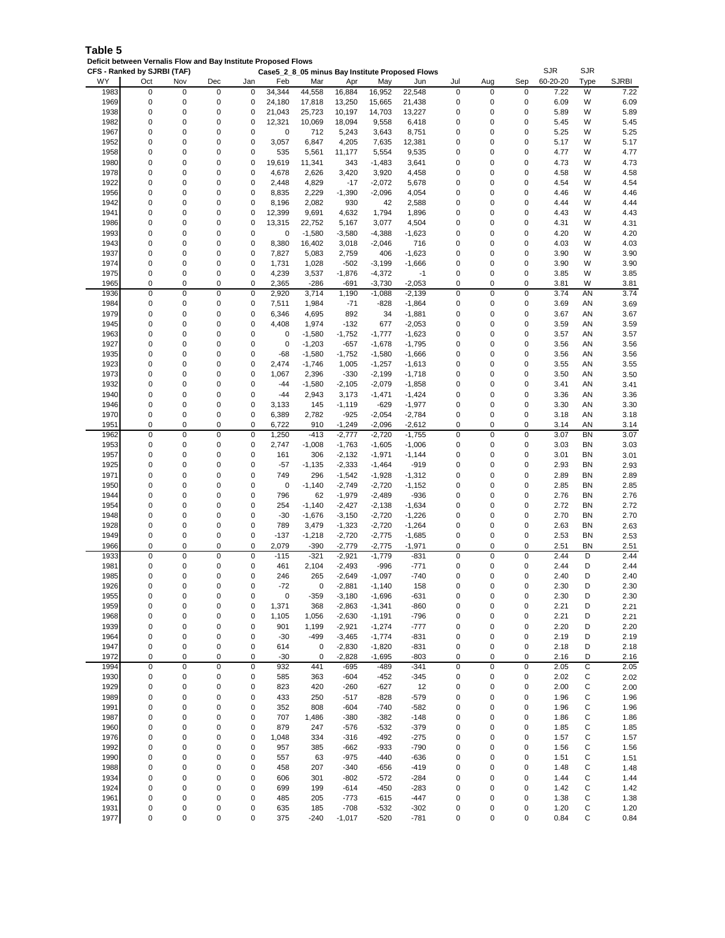| Table 5                                                        |  |
|----------------------------------------------------------------|--|
| Deficit between Vernalis Flow and Bay Institute Proposed Flows |  |

| WY<br>60-20-20<br>Type<br>Oct<br>Nov<br>Feb<br>Sep<br>Dec<br>Jan<br>Mar<br>Apr<br>May<br>Jun<br>Jul<br>Aug<br>1983<br>34,344<br>0<br>7.22<br>0<br>0<br>0<br>44,558<br>16,884<br>16,952<br>22,548<br>0<br>0<br>W<br>0<br>1969<br>0<br>0<br>6.09<br>0<br>0<br>0<br>24,180<br>17,818<br>13,250<br>15,665<br>21,438<br>0<br>0<br>W<br>1938<br>0<br>0<br>$\mathbf 0$<br>21,043<br>25,723<br>0<br>0<br>5.89<br>W<br>0<br>10,197<br>14,703<br>13,227<br>0<br>1982<br>0<br>0<br>$\mathbf 0$<br>0<br>$\mathbf 0$<br>0<br>W<br>12,321<br>10,069<br>18,094<br>9,558<br>6,418<br>0<br>5.45<br>1967<br>0<br>0<br>$\mathbf 0$<br>0<br>5.25<br>0<br>0<br>0<br>712<br>5,243<br>3,643<br>8,751<br>0<br>W<br>1952<br>0<br>0<br>0<br>0<br>W<br>0<br>0<br>3,057<br>6,847<br>4,205<br>7,635<br>12,381<br>0<br>5.17<br>1958<br>0<br>0<br>$\mathbf 0$<br>535<br>0<br>W<br>0<br>5,561<br>11,177<br>5,554<br>9,535<br>0<br>0<br>4.77<br>1980<br>0<br>0<br>19,619<br>11,341<br>0<br>0<br>343<br>$-1,483$<br>3,641<br>0<br>0<br>0<br>4.73<br>W<br>1978<br>0<br>0<br>0<br>0<br>0<br>0<br>4,678<br>2,626<br>3,420<br>3,920<br>4,458<br>0<br>4.58<br>W<br>1922<br>0<br>0<br>$\mathbf 0$<br>0<br>4,829<br>0<br>$\mathbf 0$<br>4.54<br>2,448<br>$-17$<br>$-2,072$<br>5,678<br>0<br>W<br>1956<br>0<br>0<br>0<br>2,229<br>$-2,096$<br>$\mathbf 0$<br>$\mathbf 0$<br>W<br>0<br>8,835<br>$-1,390$<br>4,054<br>0<br>4.46<br>0<br>0<br>1942<br>0<br>0<br>8,196<br>2,082<br>930<br>2,588<br>0<br>0<br>0<br>4.44<br>W<br>42<br>1941<br>0<br>0<br>$\mathbf 0$<br>$\mathbf 0$<br>W<br>0<br>12,399<br>9,691<br>4,632<br>1,794<br>1,896<br>0<br>0<br>4.43<br>1986<br>0<br>0<br>0<br>0<br>0<br>13,315<br>22,752<br>5,167<br>3,077<br>4,504<br>0<br>0<br>4.31<br>W<br>1993<br>0<br>0<br>$-1,580$<br>0<br>0<br>0<br>$-3,580$<br>$-4,388$<br>$-1,623$<br>0<br>0<br>0<br>4.20<br>W<br>1943<br>0<br>0<br>0<br>0<br>716<br>0<br>$\mathbf 0$<br>4.03<br>W<br>8,380<br>16,402<br>3,018<br>$-2,046$<br>0<br>1937<br>0<br>0<br>0<br>0<br>7,827<br>5,083<br>2,759<br>406<br>$-1,623$<br>0<br>0<br>0<br>3.90<br>W<br>0<br>$\mathbf 0$<br>1974<br>0<br>0<br>0<br>1,731<br>1,028<br>$-502$<br>$-3,199$<br>$-1,666$<br>0<br>$\mathbf 0$<br>3.90<br>W<br>1975<br>0<br>$\mathbf 0$<br>0<br>0<br>0<br>W<br>0<br>4,239<br>3,537<br>$-1,876$<br>$-4,372$<br>$-1$<br>0<br>3.85<br>1965<br>0<br>$-2,053$<br>0<br>0<br>0<br>2,365<br>$-286$<br>$-691$<br>$-3,730$<br>0<br>0<br>0<br>3.81<br>W<br>$\mathbf 0$<br>3,714<br>$\mathbf 0$<br>$\mathbf 0$<br>AN<br>1936<br>0<br>0<br>0<br>$-2,139$<br>$\mathbf 0$<br>3.74<br>2,920<br>1,190<br>$-1,088$<br>1984<br>0<br>0<br>$\mathbf 0$<br>$\mathbf 0$<br>0<br>3.69<br>0<br>7,511<br>1,984<br>$-71$<br>$-828$<br>$-1,864$<br>0<br>AN<br>1979<br>4,695<br>892<br>0<br>0<br>0<br>0<br>6,346<br>34<br>$-1,881$<br>0<br>0<br>0<br>3.67<br>AN<br>0<br>$\mathbf 0$<br>0<br>0<br>0<br>1945<br>0<br>4,408<br>1,974<br>$-132$<br>677<br>$-2,053$<br>0<br>3.59<br>AN<br>0<br>0<br>0<br>0<br>$\mathbf 0$<br>0<br>1963<br>0<br>$-1,580$<br>$-1,752$<br>$-1,777$<br>$-1,623$<br>0<br>3.57<br>AN<br>1927<br>0<br>0<br>$\mathbf 0$<br>0<br>$-1,203$<br>$-1,795$<br>0<br>0<br>3.56<br>AN<br>0<br>$-657$<br>$-1,678$<br>0<br>1935<br>0<br>0<br>0<br>0<br>$-68$<br>$-1,580$<br>$-1,752$<br>$-1,580$<br>$-1,666$<br>0<br>0<br>0<br>3.56<br>AN<br>1923<br>0<br>0<br>0<br>0<br>0<br>$\mathbf 0$<br>2,474<br>$-1,746$<br>1,005<br>$-1,257$<br>$-1,613$<br>0<br>3.55<br>AN<br>1973<br>0<br>0<br>$\mathbf 0$<br>0<br>$\mathbf 0$<br>0<br>1,067<br>2,396<br>$-330$<br>$-2,199$<br>$-1,718$<br>0<br>3.50<br>AN<br>1932<br>0<br>0<br>0<br>0<br>$-44$<br>$-1,580$<br>$-2,105$<br>$-2,079$<br>$-1,858$<br>0<br>0<br>0<br>3.41<br>AN<br>0<br>0<br>$\mathbf 0$<br>0<br>$\mathbf 0$<br>0<br>1940<br>$-44$<br>2,943<br>$-1,471$<br>0<br>3.36<br>AN<br>3,173<br>$-1,424$<br>1946<br>0<br>0<br>$\mathbf 0$<br>0<br>$\mathbf 0$<br>0<br>3.30<br>3,133<br>145<br>$-1,119$<br>$-629$<br>$-1,977$<br>0<br>AN<br>1970<br>0<br>0<br>$-925$<br>0<br>3.18<br>0<br>0<br>6,389<br>2,782<br>$-2,054$<br>$-2,784$<br>0<br>0<br>AN<br>0<br>0<br>$\mathbf 0$<br>0<br>0<br>1951<br>0<br>910<br>$-1,249$<br>$-2,096$<br>$-2,612$<br>0<br>3.14<br>AN<br>6,722<br>1962<br>0<br>0<br>0<br>0<br>1,250<br>$-413$<br>$-2,777$<br>$-2,720$<br>$-1,755$<br>0<br>0<br>$\mathbf 0$<br>3.07<br>BN<br>1953<br>$\mathbf 0$<br>0<br>$\mathbf 0$<br>0<br>0<br>2,747<br>$-1,008$<br>$-1,763$<br>$-1,605$<br>$-1,006$<br>0<br>0<br>3.03<br>BN<br>1957<br>$\mathbf 0$<br>0<br>BN<br>0<br>0<br>0<br>161<br>306<br>$-2,132$<br>$-1,971$<br>0<br>0<br>3.01<br>$-1,144$<br>1925<br>$\pmb{0}$<br>0<br>$\mathbf 0$<br>$-57$<br>0<br>0<br>2.93<br>BN<br>0<br>$-1,135$<br>$-2,333$<br>$-919$<br>0<br>$-1,464$<br>1971<br>0<br>0<br>749<br>296<br>2.89<br>0<br>0<br>$-1,542$<br>$-1,928$<br>$-1,312$<br>0<br>0<br>0<br>BN<br>1950<br>0<br>0<br>$\pmb{0}$<br>$-1,140$<br>0<br>0<br><b>BN</b><br>0<br>0<br>$-2,749$<br>$-2,720$<br>$-1,152$<br>0<br>2.85<br>1944<br>0<br>0<br>$\mathbf 0$<br>796<br>$-936$<br>0<br>0<br>2.76<br>0<br>62<br>$-1,979$<br>$-2,489$<br>0<br>BN<br>1954<br>0<br>0<br>0<br>$\mathbf 0$<br>0<br>0<br>254<br>$-1,140$<br>$-2,427$<br>$-2,138$<br>$-1,634$<br>0<br>2.72<br>BN<br>0<br>1948<br>0<br>0<br>0<br>$-30$<br>$-1,676$<br>$-2,720$<br>$-1,226$<br>0<br>0<br>0<br>2.70<br>BN<br>$-3,150$<br>1928<br>0<br>0<br>$\mathbf 0$<br>$\mathbf 0$<br>0<br>789<br>3,479<br>$-1,323$<br>$-2,720$<br>$-1,264$<br>0<br>0<br>2.63<br>BN<br>1949<br>0<br>0<br>0<br>0<br>$-137$<br>0<br>0<br>2.53<br>BN<br>$-1,218$<br>$-2,720$<br>$-2,775$<br>$-1,685$<br>0<br>1966<br>0<br>0<br>0<br>0<br>0<br>2,079<br>$-390$<br>$-2,779$<br>$-2,775$<br>$-1,971$<br>0<br>0<br>2.51<br>BN<br>1933<br>0<br>$\mathbf 0$<br>$\mathbf 0$<br>$\mathbf 0$<br>D<br>0<br>0<br>$-115$<br>$-321$<br>$-1,779$<br>$-831$<br>$\mathbf 0$<br>2.44<br>$-2,921$<br>$-771$<br>1981<br>0<br>0<br>0<br>0<br>461<br>2,104<br>$-2,493$<br>-996<br>0<br>0<br>0<br>2.44<br>D<br>1985<br>0<br>0<br>$\mathbf 0$<br>0<br>$-740$<br>$\mathbf 0$<br>0<br>D<br>246<br>265<br>$-2,649$<br>$-1,097$<br>0<br>2.40<br>0<br>0<br>$\mathbf 0$<br>0<br>$-72$<br>158<br>0<br>$\mathbf 0$<br>0<br>2.30<br>D<br>1926<br>0<br>$-2,881$<br>$-1,140$<br>1955<br>0<br>0<br>$-359$<br>$-631$<br>2.30<br>D<br>0<br>0<br>0<br>$-3.180$<br>$-1,696$<br>0<br>0<br>0<br>1959<br>0<br>0<br>2.21<br>D<br>0<br>0<br>0<br>1,371<br>368<br>$-2,863$<br>$-1,341$<br>$-860$<br>0<br>0<br>1968<br>0<br>0<br>0<br>0<br>0<br>2.21<br>D<br>1,105<br>1,056<br>$-2,630$<br>$-1,191$<br>-796<br>0<br>0<br>1939<br>0<br>0<br>901<br>0<br>0<br>2.20<br>0<br>0<br>1,199<br>$-2,921$<br>$-1,274$<br>$-777$<br>0<br>D<br>1964<br>0<br>0<br>0<br>0<br>$-30$<br>-499<br>$-3,465$<br>$-1,774$<br>-831<br>0<br>0<br>0<br>2.19<br>D<br>0<br>D<br>1947<br>0<br>0<br>0<br>614<br>0<br>$-2,830$<br>$-1,820$<br>-831<br>0<br>0<br>0<br>2.18<br>1972<br>0<br>0<br>0<br>0<br>$-30$<br>0<br>$-2,828$<br>$-1,695$<br>$-803$<br>0<br>0<br>0<br>2.16<br>D<br>$\overline{0}$<br>$\overline{0}$<br>C<br>1994<br>$\pmb{0}$<br>0<br>932<br>441<br>$-341$<br>$\pmb{0}$<br>0<br>$\pmb{0}$<br>2.05<br>$-695$<br>-489<br>$\pmb{0}$<br>0<br>0<br>585<br>0<br>2.02<br>C<br>1930<br>0<br>363<br>$-604$<br>$-452$<br>$-345$<br>0<br>0<br>1929<br>823<br>2.00<br>C<br>0<br>0<br>0<br>0<br>420<br>$-260$<br>$-627$<br>12<br>0<br>0<br>0<br>1989<br>433<br>0<br>1.96<br>С<br>0<br>0<br>0<br>0<br>250<br>$-517$<br>$-828$<br>-579<br>0<br>0<br>C<br>1991<br>0<br>0<br>0<br>0<br>352<br>808<br>$-604$<br>$-740$<br>-582<br>0<br>0<br>0<br>1.96<br>1987<br>0<br>707<br>С<br>0<br>0<br>0<br>1,486<br>$-380$<br>$-382$<br>$-148$<br>0<br>0<br>0<br>1.86<br>879<br>С<br>1960<br>0<br>0<br>0<br>0<br>247<br>$-576$<br>$-532$<br>$-379$<br>0<br>0<br>0<br>1.85<br>C<br>1976<br>0<br>0<br>0<br>0<br>1,048<br>$-275$<br>0<br>0<br>0<br>1.57<br>334<br>-316<br>-492<br>1992<br>957<br>$-790$<br>0<br>С<br>0<br>0<br>0<br>0<br>385<br>$-662$<br>$-933$<br>0<br>0<br>1.56<br>C<br>1990<br>0<br>0<br>0<br>0<br>557<br>63<br>$-975$<br>$-440$<br>$-636$<br>0<br>0<br>0<br>1.51<br>0<br>С<br>1988<br>0<br>0<br>0<br>0<br>458<br>207<br>$-340$<br>$-656$<br>$-419$<br>0<br>0<br>1.48<br>С<br>1934<br>0<br>0<br>0<br>0<br>606<br>301<br>$-802$<br>-284<br>0<br>0<br>0<br>1.44<br>-572<br>1924<br>С<br>0<br>0<br>0<br>0<br>699<br>199<br>$-614$<br>$-450$<br>$-283$<br>0<br>0<br>0<br>1.42<br>0<br>0<br>С<br>1961<br>0<br>0<br>0<br>485<br>205<br>$-773$<br>$-615$<br>-447<br>0<br>0<br>1.38<br>1931<br>0<br>$-708$<br>0<br>C<br>0<br>0<br>0<br>635<br>185<br>$-532$<br>$-302$<br>0<br>0<br>1.20 |      | CFS - Ranked by SJRBI (TAF) |   |   |   |     |        |          |      | Case5_2_8_05 minus Bay Institute Proposed Flows |   |   |   | <b>SJR</b> | <b>SJR</b> |              |
|---------------------------------------------------------------------------------------------------------------------------------------------------------------------------------------------------------------------------------------------------------------------------------------------------------------------------------------------------------------------------------------------------------------------------------------------------------------------------------------------------------------------------------------------------------------------------------------------------------------------------------------------------------------------------------------------------------------------------------------------------------------------------------------------------------------------------------------------------------------------------------------------------------------------------------------------------------------------------------------------------------------------------------------------------------------------------------------------------------------------------------------------------------------------------------------------------------------------------------------------------------------------------------------------------------------------------------------------------------------------------------------------------------------------------------------------------------------------------------------------------------------------------------------------------------------------------------------------------------------------------------------------------------------------------------------------------------------------------------------------------------------------------------------------------------------------------------------------------------------------------------------------------------------------------------------------------------------------------------------------------------------------------------------------------------------------------------------------------------------------------------------------------------------------------------------------------------------------------------------------------------------------------------------------------------------------------------------------------------------------------------------------------------------------------------------------------------------------------------------------------------------------------------------------------------------------------------------------------------------------------------------------------------------------------------------------------------------------------------------------------------------------------------------------------------------------------------------------------------------------------------------------------------------------------------------------------------------------------------------------------------------------------------------------------------------------------------------------------------------------------------------------------------------------------------------------------------------------------------------------------------------------------------------------------------------------------------------------------------------------------------------------------------------------------------------------------------------------------------------------------------------------------------------------------------------------------------------------------------------------------------------------------------------------------------------------------------------------------------------------------------------------------------------------------------------------------------------------------------------------------------------------------------------------------------------------------------------------------------------------------------------------------------------------------------------------------------------------------------------------------------------------------------------------------------------------------------------------------------------------------------------------------------------------------------------------------------------------------------------------------------------------------------------------------------------------------------------------------------------------------------------------------------------------------------------------------------------------------------------------------------------------------------------------------------------------------------------------------------------------------------------------------------------------------------------------------------------------------------------------------------------------------------------------------------------------------------------------------------------------------------------------------------------------------------------------------------------------------------------------------------------------------------------------------------------------------------------------------------------------------------------------------------------------------------------------------------------------------------------------------------------------------------------------------------------------------------------------------------------------------------------------------------------------------------------------------------------------------------------------------------------------------------------------------------------------------------------------------------------------------------------------------------------------------------------------------------------------------------------------------------------------------------------------------------------------------------------------------------------------------------------------------------------------------------------------------------------------------------------------------------------------------------------------------------------------------------------------------------------------------------------------------------------------------------------------------------------------------------------------------------------------------------------------------------------------------------------------------------------------------------------------------------------------------------------------------------------------------------------------------------------------------------------------------------------------------------------------------------------------------------------------------------------------------------------------------------------------------------------------------------------------------------------------------------------------------------------------------------------------------------------------------------------------------------------------------------------------------------------------------------------------------------------------------------------------------------------------------------------------------------------------------------------------------------------------------------------------------------------------------------------------------------------------------------------------------------------------------------------------------------------------------------------------------------------------------------------------------------------------------------------------------------------------------------------------------------------------------------------------------------------------------------------------------------------------------------------------------------------------------------------------------------------------------------------------------------------------------------------------------------------------------------------------------------------------------------------------------------------------------------------------------------------------------------------------------------------------------------------------------------------------------------------------------------------------------------------------------------------------------------------------------------------------------------------------------------------------------------------------------------------------------------------------------------------------|------|-----------------------------|---|---|---|-----|--------|----------|------|-------------------------------------------------|---|---|---|------------|------------|--------------|
|                                                                                                                                                                                                                                                                                                                                                                                                                                                                                                                                                                                                                                                                                                                                                                                                                                                                                                                                                                                                                                                                                                                                                                                                                                                                                                                                                                                                                                                                                                                                                                                                                                                                                                                                                                                                                                                                                                                                                                                                                                                                                                                                                                                                                                                                                                                                                                                                                                                                                                                                                                                                                                                                                                                                                                                                                                                                                                                                                                                                                                                                                                                                                                                                                                                                                                                                                                                                                                                                                                                                                                                                                                                                                                                                                                                                                                                                                                                                                                                                                                                                                                                                                                                                                                                                                                                                                                                                                                                                                                                                                                                                                                                                                                                                                                                                                                                                                                                                                                                                                                                                                                                                                                                                                                                                                                                                                                                                                                                                                                                                                                                                                                                                                                                                                                                                                                                                                                                                                                                                                                                                                                                                                                                                                                                                                                                                                                                                                                                                                                                                                                                                                                                                                                                                                                                                                                                                                                                                                                                                                                                                                                                                                                                                                                                                                                                                                                                                                                                                                                                                                                                                                                                                                                                                                                                                                                                                                                                                                                                                                                                                                                                                                                                                                                                                                                                                                                                                                                                                                                                                                                     |      |                             |   |   |   |     |        |          |      |                                                 |   |   |   |            |            | <b>SJRBI</b> |
|                                                                                                                                                                                                                                                                                                                                                                                                                                                                                                                                                                                                                                                                                                                                                                                                                                                                                                                                                                                                                                                                                                                                                                                                                                                                                                                                                                                                                                                                                                                                                                                                                                                                                                                                                                                                                                                                                                                                                                                                                                                                                                                                                                                                                                                                                                                                                                                                                                                                                                                                                                                                                                                                                                                                                                                                                                                                                                                                                                                                                                                                                                                                                                                                                                                                                                                                                                                                                                                                                                                                                                                                                                                                                                                                                                                                                                                                                                                                                                                                                                                                                                                                                                                                                                                                                                                                                                                                                                                                                                                                                                                                                                                                                                                                                                                                                                                                                                                                                                                                                                                                                                                                                                                                                                                                                                                                                                                                                                                                                                                                                                                                                                                                                                                                                                                                                                                                                                                                                                                                                                                                                                                                                                                                                                                                                                                                                                                                                                                                                                                                                                                                                                                                                                                                                                                                                                                                                                                                                                                                                                                                                                                                                                                                                                                                                                                                                                                                                                                                                                                                                                                                                                                                                                                                                                                                                                                                                                                                                                                                                                                                                                                                                                                                                                                                                                                                                                                                                                                                                                                                                                     |      |                             |   |   |   |     |        |          |      |                                                 |   |   |   |            |            | 7.22         |
|                                                                                                                                                                                                                                                                                                                                                                                                                                                                                                                                                                                                                                                                                                                                                                                                                                                                                                                                                                                                                                                                                                                                                                                                                                                                                                                                                                                                                                                                                                                                                                                                                                                                                                                                                                                                                                                                                                                                                                                                                                                                                                                                                                                                                                                                                                                                                                                                                                                                                                                                                                                                                                                                                                                                                                                                                                                                                                                                                                                                                                                                                                                                                                                                                                                                                                                                                                                                                                                                                                                                                                                                                                                                                                                                                                                                                                                                                                                                                                                                                                                                                                                                                                                                                                                                                                                                                                                                                                                                                                                                                                                                                                                                                                                                                                                                                                                                                                                                                                                                                                                                                                                                                                                                                                                                                                                                                                                                                                                                                                                                                                                                                                                                                                                                                                                                                                                                                                                                                                                                                                                                                                                                                                                                                                                                                                                                                                                                                                                                                                                                                                                                                                                                                                                                                                                                                                                                                                                                                                                                                                                                                                                                                                                                                                                                                                                                                                                                                                                                                                                                                                                                                                                                                                                                                                                                                                                                                                                                                                                                                                                                                                                                                                                                                                                                                                                                                                                                                                                                                                                                                                     |      |                             |   |   |   |     |        |          |      |                                                 |   |   |   |            |            | 6.09         |
|                                                                                                                                                                                                                                                                                                                                                                                                                                                                                                                                                                                                                                                                                                                                                                                                                                                                                                                                                                                                                                                                                                                                                                                                                                                                                                                                                                                                                                                                                                                                                                                                                                                                                                                                                                                                                                                                                                                                                                                                                                                                                                                                                                                                                                                                                                                                                                                                                                                                                                                                                                                                                                                                                                                                                                                                                                                                                                                                                                                                                                                                                                                                                                                                                                                                                                                                                                                                                                                                                                                                                                                                                                                                                                                                                                                                                                                                                                                                                                                                                                                                                                                                                                                                                                                                                                                                                                                                                                                                                                                                                                                                                                                                                                                                                                                                                                                                                                                                                                                                                                                                                                                                                                                                                                                                                                                                                                                                                                                                                                                                                                                                                                                                                                                                                                                                                                                                                                                                                                                                                                                                                                                                                                                                                                                                                                                                                                                                                                                                                                                                                                                                                                                                                                                                                                                                                                                                                                                                                                                                                                                                                                                                                                                                                                                                                                                                                                                                                                                                                                                                                                                                                                                                                                                                                                                                                                                                                                                                                                                                                                                                                                                                                                                                                                                                                                                                                                                                                                                                                                                                                                     |      |                             |   |   |   |     |        |          |      |                                                 |   |   |   |            |            | 5.89         |
|                                                                                                                                                                                                                                                                                                                                                                                                                                                                                                                                                                                                                                                                                                                                                                                                                                                                                                                                                                                                                                                                                                                                                                                                                                                                                                                                                                                                                                                                                                                                                                                                                                                                                                                                                                                                                                                                                                                                                                                                                                                                                                                                                                                                                                                                                                                                                                                                                                                                                                                                                                                                                                                                                                                                                                                                                                                                                                                                                                                                                                                                                                                                                                                                                                                                                                                                                                                                                                                                                                                                                                                                                                                                                                                                                                                                                                                                                                                                                                                                                                                                                                                                                                                                                                                                                                                                                                                                                                                                                                                                                                                                                                                                                                                                                                                                                                                                                                                                                                                                                                                                                                                                                                                                                                                                                                                                                                                                                                                                                                                                                                                                                                                                                                                                                                                                                                                                                                                                                                                                                                                                                                                                                                                                                                                                                                                                                                                                                                                                                                                                                                                                                                                                                                                                                                                                                                                                                                                                                                                                                                                                                                                                                                                                                                                                                                                                                                                                                                                                                                                                                                                                                                                                                                                                                                                                                                                                                                                                                                                                                                                                                                                                                                                                                                                                                                                                                                                                                                                                                                                                                                     |      |                             |   |   |   |     |        |          |      |                                                 |   |   |   |            |            | 5.45         |
|                                                                                                                                                                                                                                                                                                                                                                                                                                                                                                                                                                                                                                                                                                                                                                                                                                                                                                                                                                                                                                                                                                                                                                                                                                                                                                                                                                                                                                                                                                                                                                                                                                                                                                                                                                                                                                                                                                                                                                                                                                                                                                                                                                                                                                                                                                                                                                                                                                                                                                                                                                                                                                                                                                                                                                                                                                                                                                                                                                                                                                                                                                                                                                                                                                                                                                                                                                                                                                                                                                                                                                                                                                                                                                                                                                                                                                                                                                                                                                                                                                                                                                                                                                                                                                                                                                                                                                                                                                                                                                                                                                                                                                                                                                                                                                                                                                                                                                                                                                                                                                                                                                                                                                                                                                                                                                                                                                                                                                                                                                                                                                                                                                                                                                                                                                                                                                                                                                                                                                                                                                                                                                                                                                                                                                                                                                                                                                                                                                                                                                                                                                                                                                                                                                                                                                                                                                                                                                                                                                                                                                                                                                                                                                                                                                                                                                                                                                                                                                                                                                                                                                                                                                                                                                                                                                                                                                                                                                                                                                                                                                                                                                                                                                                                                                                                                                                                                                                                                                                                                                                                                                     |      |                             |   |   |   |     |        |          |      |                                                 |   |   |   |            |            | 5.25         |
|                                                                                                                                                                                                                                                                                                                                                                                                                                                                                                                                                                                                                                                                                                                                                                                                                                                                                                                                                                                                                                                                                                                                                                                                                                                                                                                                                                                                                                                                                                                                                                                                                                                                                                                                                                                                                                                                                                                                                                                                                                                                                                                                                                                                                                                                                                                                                                                                                                                                                                                                                                                                                                                                                                                                                                                                                                                                                                                                                                                                                                                                                                                                                                                                                                                                                                                                                                                                                                                                                                                                                                                                                                                                                                                                                                                                                                                                                                                                                                                                                                                                                                                                                                                                                                                                                                                                                                                                                                                                                                                                                                                                                                                                                                                                                                                                                                                                                                                                                                                                                                                                                                                                                                                                                                                                                                                                                                                                                                                                                                                                                                                                                                                                                                                                                                                                                                                                                                                                                                                                                                                                                                                                                                                                                                                                                                                                                                                                                                                                                                                                                                                                                                                                                                                                                                                                                                                                                                                                                                                                                                                                                                                                                                                                                                                                                                                                                                                                                                                                                                                                                                                                                                                                                                                                                                                                                                                                                                                                                                                                                                                                                                                                                                                                                                                                                                                                                                                                                                                                                                                                                                     |      |                             |   |   |   |     |        |          |      |                                                 |   |   |   |            |            | 5.17         |
|                                                                                                                                                                                                                                                                                                                                                                                                                                                                                                                                                                                                                                                                                                                                                                                                                                                                                                                                                                                                                                                                                                                                                                                                                                                                                                                                                                                                                                                                                                                                                                                                                                                                                                                                                                                                                                                                                                                                                                                                                                                                                                                                                                                                                                                                                                                                                                                                                                                                                                                                                                                                                                                                                                                                                                                                                                                                                                                                                                                                                                                                                                                                                                                                                                                                                                                                                                                                                                                                                                                                                                                                                                                                                                                                                                                                                                                                                                                                                                                                                                                                                                                                                                                                                                                                                                                                                                                                                                                                                                                                                                                                                                                                                                                                                                                                                                                                                                                                                                                                                                                                                                                                                                                                                                                                                                                                                                                                                                                                                                                                                                                                                                                                                                                                                                                                                                                                                                                                                                                                                                                                                                                                                                                                                                                                                                                                                                                                                                                                                                                                                                                                                                                                                                                                                                                                                                                                                                                                                                                                                                                                                                                                                                                                                                                                                                                                                                                                                                                                                                                                                                                                                                                                                                                                                                                                                                                                                                                                                                                                                                                                                                                                                                                                                                                                                                                                                                                                                                                                                                                                                                     |      |                             |   |   |   |     |        |          |      |                                                 |   |   |   |            |            | 4.77         |
|                                                                                                                                                                                                                                                                                                                                                                                                                                                                                                                                                                                                                                                                                                                                                                                                                                                                                                                                                                                                                                                                                                                                                                                                                                                                                                                                                                                                                                                                                                                                                                                                                                                                                                                                                                                                                                                                                                                                                                                                                                                                                                                                                                                                                                                                                                                                                                                                                                                                                                                                                                                                                                                                                                                                                                                                                                                                                                                                                                                                                                                                                                                                                                                                                                                                                                                                                                                                                                                                                                                                                                                                                                                                                                                                                                                                                                                                                                                                                                                                                                                                                                                                                                                                                                                                                                                                                                                                                                                                                                                                                                                                                                                                                                                                                                                                                                                                                                                                                                                                                                                                                                                                                                                                                                                                                                                                                                                                                                                                                                                                                                                                                                                                                                                                                                                                                                                                                                                                                                                                                                                                                                                                                                                                                                                                                                                                                                                                                                                                                                                                                                                                                                                                                                                                                                                                                                                                                                                                                                                                                                                                                                                                                                                                                                                                                                                                                                                                                                                                                                                                                                                                                                                                                                                                                                                                                                                                                                                                                                                                                                                                                                                                                                                                                                                                                                                                                                                                                                                                                                                                                                     |      |                             |   |   |   |     |        |          |      |                                                 |   |   |   |            |            |              |
|                                                                                                                                                                                                                                                                                                                                                                                                                                                                                                                                                                                                                                                                                                                                                                                                                                                                                                                                                                                                                                                                                                                                                                                                                                                                                                                                                                                                                                                                                                                                                                                                                                                                                                                                                                                                                                                                                                                                                                                                                                                                                                                                                                                                                                                                                                                                                                                                                                                                                                                                                                                                                                                                                                                                                                                                                                                                                                                                                                                                                                                                                                                                                                                                                                                                                                                                                                                                                                                                                                                                                                                                                                                                                                                                                                                                                                                                                                                                                                                                                                                                                                                                                                                                                                                                                                                                                                                                                                                                                                                                                                                                                                                                                                                                                                                                                                                                                                                                                                                                                                                                                                                                                                                                                                                                                                                                                                                                                                                                                                                                                                                                                                                                                                                                                                                                                                                                                                                                                                                                                                                                                                                                                                                                                                                                                                                                                                                                                                                                                                                                                                                                                                                                                                                                                                                                                                                                                                                                                                                                                                                                                                                                                                                                                                                                                                                                                                                                                                                                                                                                                                                                                                                                                                                                                                                                                                                                                                                                                                                                                                                                                                                                                                                                                                                                                                                                                                                                                                                                                                                                                                     |      |                             |   |   |   |     |        |          |      |                                                 |   |   |   |            |            | 4.73         |
|                                                                                                                                                                                                                                                                                                                                                                                                                                                                                                                                                                                                                                                                                                                                                                                                                                                                                                                                                                                                                                                                                                                                                                                                                                                                                                                                                                                                                                                                                                                                                                                                                                                                                                                                                                                                                                                                                                                                                                                                                                                                                                                                                                                                                                                                                                                                                                                                                                                                                                                                                                                                                                                                                                                                                                                                                                                                                                                                                                                                                                                                                                                                                                                                                                                                                                                                                                                                                                                                                                                                                                                                                                                                                                                                                                                                                                                                                                                                                                                                                                                                                                                                                                                                                                                                                                                                                                                                                                                                                                                                                                                                                                                                                                                                                                                                                                                                                                                                                                                                                                                                                                                                                                                                                                                                                                                                                                                                                                                                                                                                                                                                                                                                                                                                                                                                                                                                                                                                                                                                                                                                                                                                                                                                                                                                                                                                                                                                                                                                                                                                                                                                                                                                                                                                                                                                                                                                                                                                                                                                                                                                                                                                                                                                                                                                                                                                                                                                                                                                                                                                                                                                                                                                                                                                                                                                                                                                                                                                                                                                                                                                                                                                                                                                                                                                                                                                                                                                                                                                                                                                                                     |      |                             |   |   |   |     |        |          |      |                                                 |   |   |   |            |            | 4.58         |
|                                                                                                                                                                                                                                                                                                                                                                                                                                                                                                                                                                                                                                                                                                                                                                                                                                                                                                                                                                                                                                                                                                                                                                                                                                                                                                                                                                                                                                                                                                                                                                                                                                                                                                                                                                                                                                                                                                                                                                                                                                                                                                                                                                                                                                                                                                                                                                                                                                                                                                                                                                                                                                                                                                                                                                                                                                                                                                                                                                                                                                                                                                                                                                                                                                                                                                                                                                                                                                                                                                                                                                                                                                                                                                                                                                                                                                                                                                                                                                                                                                                                                                                                                                                                                                                                                                                                                                                                                                                                                                                                                                                                                                                                                                                                                                                                                                                                                                                                                                                                                                                                                                                                                                                                                                                                                                                                                                                                                                                                                                                                                                                                                                                                                                                                                                                                                                                                                                                                                                                                                                                                                                                                                                                                                                                                                                                                                                                                                                                                                                                                                                                                                                                                                                                                                                                                                                                                                                                                                                                                                                                                                                                                                                                                                                                                                                                                                                                                                                                                                                                                                                                                                                                                                                                                                                                                                                                                                                                                                                                                                                                                                                                                                                                                                                                                                                                                                                                                                                                                                                                                                                     |      |                             |   |   |   |     |        |          |      |                                                 |   |   |   |            |            | 4.54         |
|                                                                                                                                                                                                                                                                                                                                                                                                                                                                                                                                                                                                                                                                                                                                                                                                                                                                                                                                                                                                                                                                                                                                                                                                                                                                                                                                                                                                                                                                                                                                                                                                                                                                                                                                                                                                                                                                                                                                                                                                                                                                                                                                                                                                                                                                                                                                                                                                                                                                                                                                                                                                                                                                                                                                                                                                                                                                                                                                                                                                                                                                                                                                                                                                                                                                                                                                                                                                                                                                                                                                                                                                                                                                                                                                                                                                                                                                                                                                                                                                                                                                                                                                                                                                                                                                                                                                                                                                                                                                                                                                                                                                                                                                                                                                                                                                                                                                                                                                                                                                                                                                                                                                                                                                                                                                                                                                                                                                                                                                                                                                                                                                                                                                                                                                                                                                                                                                                                                                                                                                                                                                                                                                                                                                                                                                                                                                                                                                                                                                                                                                                                                                                                                                                                                                                                                                                                                                                                                                                                                                                                                                                                                                                                                                                                                                                                                                                                                                                                                                                                                                                                                                                                                                                                                                                                                                                                                                                                                                                                                                                                                                                                                                                                                                                                                                                                                                                                                                                                                                                                                                                                     |      |                             |   |   |   |     |        |          |      |                                                 |   |   |   |            |            | 4.46         |
|                                                                                                                                                                                                                                                                                                                                                                                                                                                                                                                                                                                                                                                                                                                                                                                                                                                                                                                                                                                                                                                                                                                                                                                                                                                                                                                                                                                                                                                                                                                                                                                                                                                                                                                                                                                                                                                                                                                                                                                                                                                                                                                                                                                                                                                                                                                                                                                                                                                                                                                                                                                                                                                                                                                                                                                                                                                                                                                                                                                                                                                                                                                                                                                                                                                                                                                                                                                                                                                                                                                                                                                                                                                                                                                                                                                                                                                                                                                                                                                                                                                                                                                                                                                                                                                                                                                                                                                                                                                                                                                                                                                                                                                                                                                                                                                                                                                                                                                                                                                                                                                                                                                                                                                                                                                                                                                                                                                                                                                                                                                                                                                                                                                                                                                                                                                                                                                                                                                                                                                                                                                                                                                                                                                                                                                                                                                                                                                                                                                                                                                                                                                                                                                                                                                                                                                                                                                                                                                                                                                                                                                                                                                                                                                                                                                                                                                                                                                                                                                                                                                                                                                                                                                                                                                                                                                                                                                                                                                                                                                                                                                                                                                                                                                                                                                                                                                                                                                                                                                                                                                                                                     |      |                             |   |   |   |     |        |          |      |                                                 |   |   |   |            |            | 4.44         |
|                                                                                                                                                                                                                                                                                                                                                                                                                                                                                                                                                                                                                                                                                                                                                                                                                                                                                                                                                                                                                                                                                                                                                                                                                                                                                                                                                                                                                                                                                                                                                                                                                                                                                                                                                                                                                                                                                                                                                                                                                                                                                                                                                                                                                                                                                                                                                                                                                                                                                                                                                                                                                                                                                                                                                                                                                                                                                                                                                                                                                                                                                                                                                                                                                                                                                                                                                                                                                                                                                                                                                                                                                                                                                                                                                                                                                                                                                                                                                                                                                                                                                                                                                                                                                                                                                                                                                                                                                                                                                                                                                                                                                                                                                                                                                                                                                                                                                                                                                                                                                                                                                                                                                                                                                                                                                                                                                                                                                                                                                                                                                                                                                                                                                                                                                                                                                                                                                                                                                                                                                                                                                                                                                                                                                                                                                                                                                                                                                                                                                                                                                                                                                                                                                                                                                                                                                                                                                                                                                                                                                                                                                                                                                                                                                                                                                                                                                                                                                                                                                                                                                                                                                                                                                                                                                                                                                                                                                                                                                                                                                                                                                                                                                                                                                                                                                                                                                                                                                                                                                                                                                                     |      |                             |   |   |   |     |        |          |      |                                                 |   |   |   |            |            | 4.43         |
|                                                                                                                                                                                                                                                                                                                                                                                                                                                                                                                                                                                                                                                                                                                                                                                                                                                                                                                                                                                                                                                                                                                                                                                                                                                                                                                                                                                                                                                                                                                                                                                                                                                                                                                                                                                                                                                                                                                                                                                                                                                                                                                                                                                                                                                                                                                                                                                                                                                                                                                                                                                                                                                                                                                                                                                                                                                                                                                                                                                                                                                                                                                                                                                                                                                                                                                                                                                                                                                                                                                                                                                                                                                                                                                                                                                                                                                                                                                                                                                                                                                                                                                                                                                                                                                                                                                                                                                                                                                                                                                                                                                                                                                                                                                                                                                                                                                                                                                                                                                                                                                                                                                                                                                                                                                                                                                                                                                                                                                                                                                                                                                                                                                                                                                                                                                                                                                                                                                                                                                                                                                                                                                                                                                                                                                                                                                                                                                                                                                                                                                                                                                                                                                                                                                                                                                                                                                                                                                                                                                                                                                                                                                                                                                                                                                                                                                                                                                                                                                                                                                                                                                                                                                                                                                                                                                                                                                                                                                                                                                                                                                                                                                                                                                                                                                                                                                                                                                                                                                                                                                                                                     |      |                             |   |   |   |     |        |          |      |                                                 |   |   |   |            |            | 4.31         |
|                                                                                                                                                                                                                                                                                                                                                                                                                                                                                                                                                                                                                                                                                                                                                                                                                                                                                                                                                                                                                                                                                                                                                                                                                                                                                                                                                                                                                                                                                                                                                                                                                                                                                                                                                                                                                                                                                                                                                                                                                                                                                                                                                                                                                                                                                                                                                                                                                                                                                                                                                                                                                                                                                                                                                                                                                                                                                                                                                                                                                                                                                                                                                                                                                                                                                                                                                                                                                                                                                                                                                                                                                                                                                                                                                                                                                                                                                                                                                                                                                                                                                                                                                                                                                                                                                                                                                                                                                                                                                                                                                                                                                                                                                                                                                                                                                                                                                                                                                                                                                                                                                                                                                                                                                                                                                                                                                                                                                                                                                                                                                                                                                                                                                                                                                                                                                                                                                                                                                                                                                                                                                                                                                                                                                                                                                                                                                                                                                                                                                                                                                                                                                                                                                                                                                                                                                                                                                                                                                                                                                                                                                                                                                                                                                                                                                                                                                                                                                                                                                                                                                                                                                                                                                                                                                                                                                                                                                                                                                                                                                                                                                                                                                                                                                                                                                                                                                                                                                                                                                                                                                                     |      |                             |   |   |   |     |        |          |      |                                                 |   |   |   |            |            | 4.20         |
|                                                                                                                                                                                                                                                                                                                                                                                                                                                                                                                                                                                                                                                                                                                                                                                                                                                                                                                                                                                                                                                                                                                                                                                                                                                                                                                                                                                                                                                                                                                                                                                                                                                                                                                                                                                                                                                                                                                                                                                                                                                                                                                                                                                                                                                                                                                                                                                                                                                                                                                                                                                                                                                                                                                                                                                                                                                                                                                                                                                                                                                                                                                                                                                                                                                                                                                                                                                                                                                                                                                                                                                                                                                                                                                                                                                                                                                                                                                                                                                                                                                                                                                                                                                                                                                                                                                                                                                                                                                                                                                                                                                                                                                                                                                                                                                                                                                                                                                                                                                                                                                                                                                                                                                                                                                                                                                                                                                                                                                                                                                                                                                                                                                                                                                                                                                                                                                                                                                                                                                                                                                                                                                                                                                                                                                                                                                                                                                                                                                                                                                                                                                                                                                                                                                                                                                                                                                                                                                                                                                                                                                                                                                                                                                                                                                                                                                                                                                                                                                                                                                                                                                                                                                                                                                                                                                                                                                                                                                                                                                                                                                                                                                                                                                                                                                                                                                                                                                                                                                                                                                                                                     |      |                             |   |   |   |     |        |          |      |                                                 |   |   |   |            |            | 4.03         |
|                                                                                                                                                                                                                                                                                                                                                                                                                                                                                                                                                                                                                                                                                                                                                                                                                                                                                                                                                                                                                                                                                                                                                                                                                                                                                                                                                                                                                                                                                                                                                                                                                                                                                                                                                                                                                                                                                                                                                                                                                                                                                                                                                                                                                                                                                                                                                                                                                                                                                                                                                                                                                                                                                                                                                                                                                                                                                                                                                                                                                                                                                                                                                                                                                                                                                                                                                                                                                                                                                                                                                                                                                                                                                                                                                                                                                                                                                                                                                                                                                                                                                                                                                                                                                                                                                                                                                                                                                                                                                                                                                                                                                                                                                                                                                                                                                                                                                                                                                                                                                                                                                                                                                                                                                                                                                                                                                                                                                                                                                                                                                                                                                                                                                                                                                                                                                                                                                                                                                                                                                                                                                                                                                                                                                                                                                                                                                                                                                                                                                                                                                                                                                                                                                                                                                                                                                                                                                                                                                                                                                                                                                                                                                                                                                                                                                                                                                                                                                                                                                                                                                                                                                                                                                                                                                                                                                                                                                                                                                                                                                                                                                                                                                                                                                                                                                                                                                                                                                                                                                                                                                                     |      |                             |   |   |   |     |        |          |      |                                                 |   |   |   |            |            | 3.90         |
|                                                                                                                                                                                                                                                                                                                                                                                                                                                                                                                                                                                                                                                                                                                                                                                                                                                                                                                                                                                                                                                                                                                                                                                                                                                                                                                                                                                                                                                                                                                                                                                                                                                                                                                                                                                                                                                                                                                                                                                                                                                                                                                                                                                                                                                                                                                                                                                                                                                                                                                                                                                                                                                                                                                                                                                                                                                                                                                                                                                                                                                                                                                                                                                                                                                                                                                                                                                                                                                                                                                                                                                                                                                                                                                                                                                                                                                                                                                                                                                                                                                                                                                                                                                                                                                                                                                                                                                                                                                                                                                                                                                                                                                                                                                                                                                                                                                                                                                                                                                                                                                                                                                                                                                                                                                                                                                                                                                                                                                                                                                                                                                                                                                                                                                                                                                                                                                                                                                                                                                                                                                                                                                                                                                                                                                                                                                                                                                                                                                                                                                                                                                                                                                                                                                                                                                                                                                                                                                                                                                                                                                                                                                                                                                                                                                                                                                                                                                                                                                                                                                                                                                                                                                                                                                                                                                                                                                                                                                                                                                                                                                                                                                                                                                                                                                                                                                                                                                                                                                                                                                                                                     |      |                             |   |   |   |     |        |          |      |                                                 |   |   |   |            |            | 3.90         |
|                                                                                                                                                                                                                                                                                                                                                                                                                                                                                                                                                                                                                                                                                                                                                                                                                                                                                                                                                                                                                                                                                                                                                                                                                                                                                                                                                                                                                                                                                                                                                                                                                                                                                                                                                                                                                                                                                                                                                                                                                                                                                                                                                                                                                                                                                                                                                                                                                                                                                                                                                                                                                                                                                                                                                                                                                                                                                                                                                                                                                                                                                                                                                                                                                                                                                                                                                                                                                                                                                                                                                                                                                                                                                                                                                                                                                                                                                                                                                                                                                                                                                                                                                                                                                                                                                                                                                                                                                                                                                                                                                                                                                                                                                                                                                                                                                                                                                                                                                                                                                                                                                                                                                                                                                                                                                                                                                                                                                                                                                                                                                                                                                                                                                                                                                                                                                                                                                                                                                                                                                                                                                                                                                                                                                                                                                                                                                                                                                                                                                                                                                                                                                                                                                                                                                                                                                                                                                                                                                                                                                                                                                                                                                                                                                                                                                                                                                                                                                                                                                                                                                                                                                                                                                                                                                                                                                                                                                                                                                                                                                                                                                                                                                                                                                                                                                                                                                                                                                                                                                                                                                                     |      |                             |   |   |   |     |        |          |      |                                                 |   |   |   |            |            | 3.85         |
|                                                                                                                                                                                                                                                                                                                                                                                                                                                                                                                                                                                                                                                                                                                                                                                                                                                                                                                                                                                                                                                                                                                                                                                                                                                                                                                                                                                                                                                                                                                                                                                                                                                                                                                                                                                                                                                                                                                                                                                                                                                                                                                                                                                                                                                                                                                                                                                                                                                                                                                                                                                                                                                                                                                                                                                                                                                                                                                                                                                                                                                                                                                                                                                                                                                                                                                                                                                                                                                                                                                                                                                                                                                                                                                                                                                                                                                                                                                                                                                                                                                                                                                                                                                                                                                                                                                                                                                                                                                                                                                                                                                                                                                                                                                                                                                                                                                                                                                                                                                                                                                                                                                                                                                                                                                                                                                                                                                                                                                                                                                                                                                                                                                                                                                                                                                                                                                                                                                                                                                                                                                                                                                                                                                                                                                                                                                                                                                                                                                                                                                                                                                                                                                                                                                                                                                                                                                                                                                                                                                                                                                                                                                                                                                                                                                                                                                                                                                                                                                                                                                                                                                                                                                                                                                                                                                                                                                                                                                                                                                                                                                                                                                                                                                                                                                                                                                                                                                                                                                                                                                                                                     |      |                             |   |   |   |     |        |          |      |                                                 |   |   |   |            |            | 3.81         |
|                                                                                                                                                                                                                                                                                                                                                                                                                                                                                                                                                                                                                                                                                                                                                                                                                                                                                                                                                                                                                                                                                                                                                                                                                                                                                                                                                                                                                                                                                                                                                                                                                                                                                                                                                                                                                                                                                                                                                                                                                                                                                                                                                                                                                                                                                                                                                                                                                                                                                                                                                                                                                                                                                                                                                                                                                                                                                                                                                                                                                                                                                                                                                                                                                                                                                                                                                                                                                                                                                                                                                                                                                                                                                                                                                                                                                                                                                                                                                                                                                                                                                                                                                                                                                                                                                                                                                                                                                                                                                                                                                                                                                                                                                                                                                                                                                                                                                                                                                                                                                                                                                                                                                                                                                                                                                                                                                                                                                                                                                                                                                                                                                                                                                                                                                                                                                                                                                                                                                                                                                                                                                                                                                                                                                                                                                                                                                                                                                                                                                                                                                                                                                                                                                                                                                                                                                                                                                                                                                                                                                                                                                                                                                                                                                                                                                                                                                                                                                                                                                                                                                                                                                                                                                                                                                                                                                                                                                                                                                                                                                                                                                                                                                                                                                                                                                                                                                                                                                                                                                                                                                                     |      |                             |   |   |   |     |        |          |      |                                                 |   |   |   |            |            | 3.74         |
|                                                                                                                                                                                                                                                                                                                                                                                                                                                                                                                                                                                                                                                                                                                                                                                                                                                                                                                                                                                                                                                                                                                                                                                                                                                                                                                                                                                                                                                                                                                                                                                                                                                                                                                                                                                                                                                                                                                                                                                                                                                                                                                                                                                                                                                                                                                                                                                                                                                                                                                                                                                                                                                                                                                                                                                                                                                                                                                                                                                                                                                                                                                                                                                                                                                                                                                                                                                                                                                                                                                                                                                                                                                                                                                                                                                                                                                                                                                                                                                                                                                                                                                                                                                                                                                                                                                                                                                                                                                                                                                                                                                                                                                                                                                                                                                                                                                                                                                                                                                                                                                                                                                                                                                                                                                                                                                                                                                                                                                                                                                                                                                                                                                                                                                                                                                                                                                                                                                                                                                                                                                                                                                                                                                                                                                                                                                                                                                                                                                                                                                                                                                                                                                                                                                                                                                                                                                                                                                                                                                                                                                                                                                                                                                                                                                                                                                                                                                                                                                                                                                                                                                                                                                                                                                                                                                                                                                                                                                                                                                                                                                                                                                                                                                                                                                                                                                                                                                                                                                                                                                                                                     |      |                             |   |   |   |     |        |          |      |                                                 |   |   |   |            |            | 3.69         |
|                                                                                                                                                                                                                                                                                                                                                                                                                                                                                                                                                                                                                                                                                                                                                                                                                                                                                                                                                                                                                                                                                                                                                                                                                                                                                                                                                                                                                                                                                                                                                                                                                                                                                                                                                                                                                                                                                                                                                                                                                                                                                                                                                                                                                                                                                                                                                                                                                                                                                                                                                                                                                                                                                                                                                                                                                                                                                                                                                                                                                                                                                                                                                                                                                                                                                                                                                                                                                                                                                                                                                                                                                                                                                                                                                                                                                                                                                                                                                                                                                                                                                                                                                                                                                                                                                                                                                                                                                                                                                                                                                                                                                                                                                                                                                                                                                                                                                                                                                                                                                                                                                                                                                                                                                                                                                                                                                                                                                                                                                                                                                                                                                                                                                                                                                                                                                                                                                                                                                                                                                                                                                                                                                                                                                                                                                                                                                                                                                                                                                                                                                                                                                                                                                                                                                                                                                                                                                                                                                                                                                                                                                                                                                                                                                                                                                                                                                                                                                                                                                                                                                                                                                                                                                                                                                                                                                                                                                                                                                                                                                                                                                                                                                                                                                                                                                                                                                                                                                                                                                                                                                                     |      |                             |   |   |   |     |        |          |      |                                                 |   |   |   |            |            | 3.67         |
|                                                                                                                                                                                                                                                                                                                                                                                                                                                                                                                                                                                                                                                                                                                                                                                                                                                                                                                                                                                                                                                                                                                                                                                                                                                                                                                                                                                                                                                                                                                                                                                                                                                                                                                                                                                                                                                                                                                                                                                                                                                                                                                                                                                                                                                                                                                                                                                                                                                                                                                                                                                                                                                                                                                                                                                                                                                                                                                                                                                                                                                                                                                                                                                                                                                                                                                                                                                                                                                                                                                                                                                                                                                                                                                                                                                                                                                                                                                                                                                                                                                                                                                                                                                                                                                                                                                                                                                                                                                                                                                                                                                                                                                                                                                                                                                                                                                                                                                                                                                                                                                                                                                                                                                                                                                                                                                                                                                                                                                                                                                                                                                                                                                                                                                                                                                                                                                                                                                                                                                                                                                                                                                                                                                                                                                                                                                                                                                                                                                                                                                                                                                                                                                                                                                                                                                                                                                                                                                                                                                                                                                                                                                                                                                                                                                                                                                                                                                                                                                                                                                                                                                                                                                                                                                                                                                                                                                                                                                                                                                                                                                                                                                                                                                                                                                                                                                                                                                                                                                                                                                                                                     |      |                             |   |   |   |     |        |          |      |                                                 |   |   |   |            |            | 3.59         |
|                                                                                                                                                                                                                                                                                                                                                                                                                                                                                                                                                                                                                                                                                                                                                                                                                                                                                                                                                                                                                                                                                                                                                                                                                                                                                                                                                                                                                                                                                                                                                                                                                                                                                                                                                                                                                                                                                                                                                                                                                                                                                                                                                                                                                                                                                                                                                                                                                                                                                                                                                                                                                                                                                                                                                                                                                                                                                                                                                                                                                                                                                                                                                                                                                                                                                                                                                                                                                                                                                                                                                                                                                                                                                                                                                                                                                                                                                                                                                                                                                                                                                                                                                                                                                                                                                                                                                                                                                                                                                                                                                                                                                                                                                                                                                                                                                                                                                                                                                                                                                                                                                                                                                                                                                                                                                                                                                                                                                                                                                                                                                                                                                                                                                                                                                                                                                                                                                                                                                                                                                                                                                                                                                                                                                                                                                                                                                                                                                                                                                                                                                                                                                                                                                                                                                                                                                                                                                                                                                                                                                                                                                                                                                                                                                                                                                                                                                                                                                                                                                                                                                                                                                                                                                                                                                                                                                                                                                                                                                                                                                                                                                                                                                                                                                                                                                                                                                                                                                                                                                                                                                                     |      |                             |   |   |   |     |        |          |      |                                                 |   |   |   |            |            | 3.57         |
|                                                                                                                                                                                                                                                                                                                                                                                                                                                                                                                                                                                                                                                                                                                                                                                                                                                                                                                                                                                                                                                                                                                                                                                                                                                                                                                                                                                                                                                                                                                                                                                                                                                                                                                                                                                                                                                                                                                                                                                                                                                                                                                                                                                                                                                                                                                                                                                                                                                                                                                                                                                                                                                                                                                                                                                                                                                                                                                                                                                                                                                                                                                                                                                                                                                                                                                                                                                                                                                                                                                                                                                                                                                                                                                                                                                                                                                                                                                                                                                                                                                                                                                                                                                                                                                                                                                                                                                                                                                                                                                                                                                                                                                                                                                                                                                                                                                                                                                                                                                                                                                                                                                                                                                                                                                                                                                                                                                                                                                                                                                                                                                                                                                                                                                                                                                                                                                                                                                                                                                                                                                                                                                                                                                                                                                                                                                                                                                                                                                                                                                                                                                                                                                                                                                                                                                                                                                                                                                                                                                                                                                                                                                                                                                                                                                                                                                                                                                                                                                                                                                                                                                                                                                                                                                                                                                                                                                                                                                                                                                                                                                                                                                                                                                                                                                                                                                                                                                                                                                                                                                                                                     |      |                             |   |   |   |     |        |          |      |                                                 |   |   |   |            |            |              |
|                                                                                                                                                                                                                                                                                                                                                                                                                                                                                                                                                                                                                                                                                                                                                                                                                                                                                                                                                                                                                                                                                                                                                                                                                                                                                                                                                                                                                                                                                                                                                                                                                                                                                                                                                                                                                                                                                                                                                                                                                                                                                                                                                                                                                                                                                                                                                                                                                                                                                                                                                                                                                                                                                                                                                                                                                                                                                                                                                                                                                                                                                                                                                                                                                                                                                                                                                                                                                                                                                                                                                                                                                                                                                                                                                                                                                                                                                                                                                                                                                                                                                                                                                                                                                                                                                                                                                                                                                                                                                                                                                                                                                                                                                                                                                                                                                                                                                                                                                                                                                                                                                                                                                                                                                                                                                                                                                                                                                                                                                                                                                                                                                                                                                                                                                                                                                                                                                                                                                                                                                                                                                                                                                                                                                                                                                                                                                                                                                                                                                                                                                                                                                                                                                                                                                                                                                                                                                                                                                                                                                                                                                                                                                                                                                                                                                                                                                                                                                                                                                                                                                                                                                                                                                                                                                                                                                                                                                                                                                                                                                                                                                                                                                                                                                                                                                                                                                                                                                                                                                                                                                                     |      |                             |   |   |   |     |        |          |      |                                                 |   |   |   |            |            | 3.56         |
|                                                                                                                                                                                                                                                                                                                                                                                                                                                                                                                                                                                                                                                                                                                                                                                                                                                                                                                                                                                                                                                                                                                                                                                                                                                                                                                                                                                                                                                                                                                                                                                                                                                                                                                                                                                                                                                                                                                                                                                                                                                                                                                                                                                                                                                                                                                                                                                                                                                                                                                                                                                                                                                                                                                                                                                                                                                                                                                                                                                                                                                                                                                                                                                                                                                                                                                                                                                                                                                                                                                                                                                                                                                                                                                                                                                                                                                                                                                                                                                                                                                                                                                                                                                                                                                                                                                                                                                                                                                                                                                                                                                                                                                                                                                                                                                                                                                                                                                                                                                                                                                                                                                                                                                                                                                                                                                                                                                                                                                                                                                                                                                                                                                                                                                                                                                                                                                                                                                                                                                                                                                                                                                                                                                                                                                                                                                                                                                                                                                                                                                                                                                                                                                                                                                                                                                                                                                                                                                                                                                                                                                                                                                                                                                                                                                                                                                                                                                                                                                                                                                                                                                                                                                                                                                                                                                                                                                                                                                                                                                                                                                                                                                                                                                                                                                                                                                                                                                                                                                                                                                                                                     |      |                             |   |   |   |     |        |          |      |                                                 |   |   |   |            |            | 3.56         |
|                                                                                                                                                                                                                                                                                                                                                                                                                                                                                                                                                                                                                                                                                                                                                                                                                                                                                                                                                                                                                                                                                                                                                                                                                                                                                                                                                                                                                                                                                                                                                                                                                                                                                                                                                                                                                                                                                                                                                                                                                                                                                                                                                                                                                                                                                                                                                                                                                                                                                                                                                                                                                                                                                                                                                                                                                                                                                                                                                                                                                                                                                                                                                                                                                                                                                                                                                                                                                                                                                                                                                                                                                                                                                                                                                                                                                                                                                                                                                                                                                                                                                                                                                                                                                                                                                                                                                                                                                                                                                                                                                                                                                                                                                                                                                                                                                                                                                                                                                                                                                                                                                                                                                                                                                                                                                                                                                                                                                                                                                                                                                                                                                                                                                                                                                                                                                                                                                                                                                                                                                                                                                                                                                                                                                                                                                                                                                                                                                                                                                                                                                                                                                                                                                                                                                                                                                                                                                                                                                                                                                                                                                                                                                                                                                                                                                                                                                                                                                                                                                                                                                                                                                                                                                                                                                                                                                                                                                                                                                                                                                                                                                                                                                                                                                                                                                                                                                                                                                                                                                                                                                                     |      |                             |   |   |   |     |        |          |      |                                                 |   |   |   |            |            | 3.55         |
|                                                                                                                                                                                                                                                                                                                                                                                                                                                                                                                                                                                                                                                                                                                                                                                                                                                                                                                                                                                                                                                                                                                                                                                                                                                                                                                                                                                                                                                                                                                                                                                                                                                                                                                                                                                                                                                                                                                                                                                                                                                                                                                                                                                                                                                                                                                                                                                                                                                                                                                                                                                                                                                                                                                                                                                                                                                                                                                                                                                                                                                                                                                                                                                                                                                                                                                                                                                                                                                                                                                                                                                                                                                                                                                                                                                                                                                                                                                                                                                                                                                                                                                                                                                                                                                                                                                                                                                                                                                                                                                                                                                                                                                                                                                                                                                                                                                                                                                                                                                                                                                                                                                                                                                                                                                                                                                                                                                                                                                                                                                                                                                                                                                                                                                                                                                                                                                                                                                                                                                                                                                                                                                                                                                                                                                                                                                                                                                                                                                                                                                                                                                                                                                                                                                                                                                                                                                                                                                                                                                                                                                                                                                                                                                                                                                                                                                                                                                                                                                                                                                                                                                                                                                                                                                                                                                                                                                                                                                                                                                                                                                                                                                                                                                                                                                                                                                                                                                                                                                                                                                                                                     |      |                             |   |   |   |     |        |          |      |                                                 |   |   |   |            |            | 3.50         |
|                                                                                                                                                                                                                                                                                                                                                                                                                                                                                                                                                                                                                                                                                                                                                                                                                                                                                                                                                                                                                                                                                                                                                                                                                                                                                                                                                                                                                                                                                                                                                                                                                                                                                                                                                                                                                                                                                                                                                                                                                                                                                                                                                                                                                                                                                                                                                                                                                                                                                                                                                                                                                                                                                                                                                                                                                                                                                                                                                                                                                                                                                                                                                                                                                                                                                                                                                                                                                                                                                                                                                                                                                                                                                                                                                                                                                                                                                                                                                                                                                                                                                                                                                                                                                                                                                                                                                                                                                                                                                                                                                                                                                                                                                                                                                                                                                                                                                                                                                                                                                                                                                                                                                                                                                                                                                                                                                                                                                                                                                                                                                                                                                                                                                                                                                                                                                                                                                                                                                                                                                                                                                                                                                                                                                                                                                                                                                                                                                                                                                                                                                                                                                                                                                                                                                                                                                                                                                                                                                                                                                                                                                                                                                                                                                                                                                                                                                                                                                                                                                                                                                                                                                                                                                                                                                                                                                                                                                                                                                                                                                                                                                                                                                                                                                                                                                                                                                                                                                                                                                                                                                                     |      |                             |   |   |   |     |        |          |      |                                                 |   |   |   |            |            | 3.41         |
|                                                                                                                                                                                                                                                                                                                                                                                                                                                                                                                                                                                                                                                                                                                                                                                                                                                                                                                                                                                                                                                                                                                                                                                                                                                                                                                                                                                                                                                                                                                                                                                                                                                                                                                                                                                                                                                                                                                                                                                                                                                                                                                                                                                                                                                                                                                                                                                                                                                                                                                                                                                                                                                                                                                                                                                                                                                                                                                                                                                                                                                                                                                                                                                                                                                                                                                                                                                                                                                                                                                                                                                                                                                                                                                                                                                                                                                                                                                                                                                                                                                                                                                                                                                                                                                                                                                                                                                                                                                                                                                                                                                                                                                                                                                                                                                                                                                                                                                                                                                                                                                                                                                                                                                                                                                                                                                                                                                                                                                                                                                                                                                                                                                                                                                                                                                                                                                                                                                                                                                                                                                                                                                                                                                                                                                                                                                                                                                                                                                                                                                                                                                                                                                                                                                                                                                                                                                                                                                                                                                                                                                                                                                                                                                                                                                                                                                                                                                                                                                                                                                                                                                                                                                                                                                                                                                                                                                                                                                                                                                                                                                                                                                                                                                                                                                                                                                                                                                                                                                                                                                                                                     |      |                             |   |   |   |     |        |          |      |                                                 |   |   |   |            |            | 3.36         |
|                                                                                                                                                                                                                                                                                                                                                                                                                                                                                                                                                                                                                                                                                                                                                                                                                                                                                                                                                                                                                                                                                                                                                                                                                                                                                                                                                                                                                                                                                                                                                                                                                                                                                                                                                                                                                                                                                                                                                                                                                                                                                                                                                                                                                                                                                                                                                                                                                                                                                                                                                                                                                                                                                                                                                                                                                                                                                                                                                                                                                                                                                                                                                                                                                                                                                                                                                                                                                                                                                                                                                                                                                                                                                                                                                                                                                                                                                                                                                                                                                                                                                                                                                                                                                                                                                                                                                                                                                                                                                                                                                                                                                                                                                                                                                                                                                                                                                                                                                                                                                                                                                                                                                                                                                                                                                                                                                                                                                                                                                                                                                                                                                                                                                                                                                                                                                                                                                                                                                                                                                                                                                                                                                                                                                                                                                                                                                                                                                                                                                                                                                                                                                                                                                                                                                                                                                                                                                                                                                                                                                                                                                                                                                                                                                                                                                                                                                                                                                                                                                                                                                                                                                                                                                                                                                                                                                                                                                                                                                                                                                                                                                                                                                                                                                                                                                                                                                                                                                                                                                                                                                                     |      |                             |   |   |   |     |        |          |      |                                                 |   |   |   |            |            | 3.30         |
|                                                                                                                                                                                                                                                                                                                                                                                                                                                                                                                                                                                                                                                                                                                                                                                                                                                                                                                                                                                                                                                                                                                                                                                                                                                                                                                                                                                                                                                                                                                                                                                                                                                                                                                                                                                                                                                                                                                                                                                                                                                                                                                                                                                                                                                                                                                                                                                                                                                                                                                                                                                                                                                                                                                                                                                                                                                                                                                                                                                                                                                                                                                                                                                                                                                                                                                                                                                                                                                                                                                                                                                                                                                                                                                                                                                                                                                                                                                                                                                                                                                                                                                                                                                                                                                                                                                                                                                                                                                                                                                                                                                                                                                                                                                                                                                                                                                                                                                                                                                                                                                                                                                                                                                                                                                                                                                                                                                                                                                                                                                                                                                                                                                                                                                                                                                                                                                                                                                                                                                                                                                                                                                                                                                                                                                                                                                                                                                                                                                                                                                                                                                                                                                                                                                                                                                                                                                                                                                                                                                                                                                                                                                                                                                                                                                                                                                                                                                                                                                                                                                                                                                                                                                                                                                                                                                                                                                                                                                                                                                                                                                                                                                                                                                                                                                                                                                                                                                                                                                                                                                                                                     |      |                             |   |   |   |     |        |          |      |                                                 |   |   |   |            |            | 3.18         |
|                                                                                                                                                                                                                                                                                                                                                                                                                                                                                                                                                                                                                                                                                                                                                                                                                                                                                                                                                                                                                                                                                                                                                                                                                                                                                                                                                                                                                                                                                                                                                                                                                                                                                                                                                                                                                                                                                                                                                                                                                                                                                                                                                                                                                                                                                                                                                                                                                                                                                                                                                                                                                                                                                                                                                                                                                                                                                                                                                                                                                                                                                                                                                                                                                                                                                                                                                                                                                                                                                                                                                                                                                                                                                                                                                                                                                                                                                                                                                                                                                                                                                                                                                                                                                                                                                                                                                                                                                                                                                                                                                                                                                                                                                                                                                                                                                                                                                                                                                                                                                                                                                                                                                                                                                                                                                                                                                                                                                                                                                                                                                                                                                                                                                                                                                                                                                                                                                                                                                                                                                                                                                                                                                                                                                                                                                                                                                                                                                                                                                                                                                                                                                                                                                                                                                                                                                                                                                                                                                                                                                                                                                                                                                                                                                                                                                                                                                                                                                                                                                                                                                                                                                                                                                                                                                                                                                                                                                                                                                                                                                                                                                                                                                                                                                                                                                                                                                                                                                                                                                                                                                                     |      |                             |   |   |   |     |        |          |      |                                                 |   |   |   |            |            | 3.14         |
|                                                                                                                                                                                                                                                                                                                                                                                                                                                                                                                                                                                                                                                                                                                                                                                                                                                                                                                                                                                                                                                                                                                                                                                                                                                                                                                                                                                                                                                                                                                                                                                                                                                                                                                                                                                                                                                                                                                                                                                                                                                                                                                                                                                                                                                                                                                                                                                                                                                                                                                                                                                                                                                                                                                                                                                                                                                                                                                                                                                                                                                                                                                                                                                                                                                                                                                                                                                                                                                                                                                                                                                                                                                                                                                                                                                                                                                                                                                                                                                                                                                                                                                                                                                                                                                                                                                                                                                                                                                                                                                                                                                                                                                                                                                                                                                                                                                                                                                                                                                                                                                                                                                                                                                                                                                                                                                                                                                                                                                                                                                                                                                                                                                                                                                                                                                                                                                                                                                                                                                                                                                                                                                                                                                                                                                                                                                                                                                                                                                                                                                                                                                                                                                                                                                                                                                                                                                                                                                                                                                                                                                                                                                                                                                                                                                                                                                                                                                                                                                                                                                                                                                                                                                                                                                                                                                                                                                                                                                                                                                                                                                                                                                                                                                                                                                                                                                                                                                                                                                                                                                                                                     |      |                             |   |   |   |     |        |          |      |                                                 |   |   |   |            |            | 3.07         |
|                                                                                                                                                                                                                                                                                                                                                                                                                                                                                                                                                                                                                                                                                                                                                                                                                                                                                                                                                                                                                                                                                                                                                                                                                                                                                                                                                                                                                                                                                                                                                                                                                                                                                                                                                                                                                                                                                                                                                                                                                                                                                                                                                                                                                                                                                                                                                                                                                                                                                                                                                                                                                                                                                                                                                                                                                                                                                                                                                                                                                                                                                                                                                                                                                                                                                                                                                                                                                                                                                                                                                                                                                                                                                                                                                                                                                                                                                                                                                                                                                                                                                                                                                                                                                                                                                                                                                                                                                                                                                                                                                                                                                                                                                                                                                                                                                                                                                                                                                                                                                                                                                                                                                                                                                                                                                                                                                                                                                                                                                                                                                                                                                                                                                                                                                                                                                                                                                                                                                                                                                                                                                                                                                                                                                                                                                                                                                                                                                                                                                                                                                                                                                                                                                                                                                                                                                                                                                                                                                                                                                                                                                                                                                                                                                                                                                                                                                                                                                                                                                                                                                                                                                                                                                                                                                                                                                                                                                                                                                                                                                                                                                                                                                                                                                                                                                                                                                                                                                                                                                                                                                                     |      |                             |   |   |   |     |        |          |      |                                                 |   |   |   |            |            | 3.03         |
|                                                                                                                                                                                                                                                                                                                                                                                                                                                                                                                                                                                                                                                                                                                                                                                                                                                                                                                                                                                                                                                                                                                                                                                                                                                                                                                                                                                                                                                                                                                                                                                                                                                                                                                                                                                                                                                                                                                                                                                                                                                                                                                                                                                                                                                                                                                                                                                                                                                                                                                                                                                                                                                                                                                                                                                                                                                                                                                                                                                                                                                                                                                                                                                                                                                                                                                                                                                                                                                                                                                                                                                                                                                                                                                                                                                                                                                                                                                                                                                                                                                                                                                                                                                                                                                                                                                                                                                                                                                                                                                                                                                                                                                                                                                                                                                                                                                                                                                                                                                                                                                                                                                                                                                                                                                                                                                                                                                                                                                                                                                                                                                                                                                                                                                                                                                                                                                                                                                                                                                                                                                                                                                                                                                                                                                                                                                                                                                                                                                                                                                                                                                                                                                                                                                                                                                                                                                                                                                                                                                                                                                                                                                                                                                                                                                                                                                                                                                                                                                                                                                                                                                                                                                                                                                                                                                                                                                                                                                                                                                                                                                                                                                                                                                                                                                                                                                                                                                                                                                                                                                                                                     |      |                             |   |   |   |     |        |          |      |                                                 |   |   |   |            |            | 3.01         |
|                                                                                                                                                                                                                                                                                                                                                                                                                                                                                                                                                                                                                                                                                                                                                                                                                                                                                                                                                                                                                                                                                                                                                                                                                                                                                                                                                                                                                                                                                                                                                                                                                                                                                                                                                                                                                                                                                                                                                                                                                                                                                                                                                                                                                                                                                                                                                                                                                                                                                                                                                                                                                                                                                                                                                                                                                                                                                                                                                                                                                                                                                                                                                                                                                                                                                                                                                                                                                                                                                                                                                                                                                                                                                                                                                                                                                                                                                                                                                                                                                                                                                                                                                                                                                                                                                                                                                                                                                                                                                                                                                                                                                                                                                                                                                                                                                                                                                                                                                                                                                                                                                                                                                                                                                                                                                                                                                                                                                                                                                                                                                                                                                                                                                                                                                                                                                                                                                                                                                                                                                                                                                                                                                                                                                                                                                                                                                                                                                                                                                                                                                                                                                                                                                                                                                                                                                                                                                                                                                                                                                                                                                                                                                                                                                                                                                                                                                                                                                                                                                                                                                                                                                                                                                                                                                                                                                                                                                                                                                                                                                                                                                                                                                                                                                                                                                                                                                                                                                                                                                                                                                                     |      |                             |   |   |   |     |        |          |      |                                                 |   |   |   |            |            | 2.93         |
|                                                                                                                                                                                                                                                                                                                                                                                                                                                                                                                                                                                                                                                                                                                                                                                                                                                                                                                                                                                                                                                                                                                                                                                                                                                                                                                                                                                                                                                                                                                                                                                                                                                                                                                                                                                                                                                                                                                                                                                                                                                                                                                                                                                                                                                                                                                                                                                                                                                                                                                                                                                                                                                                                                                                                                                                                                                                                                                                                                                                                                                                                                                                                                                                                                                                                                                                                                                                                                                                                                                                                                                                                                                                                                                                                                                                                                                                                                                                                                                                                                                                                                                                                                                                                                                                                                                                                                                                                                                                                                                                                                                                                                                                                                                                                                                                                                                                                                                                                                                                                                                                                                                                                                                                                                                                                                                                                                                                                                                                                                                                                                                                                                                                                                                                                                                                                                                                                                                                                                                                                                                                                                                                                                                                                                                                                                                                                                                                                                                                                                                                                                                                                                                                                                                                                                                                                                                                                                                                                                                                                                                                                                                                                                                                                                                                                                                                                                                                                                                                                                                                                                                                                                                                                                                                                                                                                                                                                                                                                                                                                                                                                                                                                                                                                                                                                                                                                                                                                                                                                                                                                                     |      |                             |   |   |   |     |        |          |      |                                                 |   |   |   |            |            | 2.89         |
|                                                                                                                                                                                                                                                                                                                                                                                                                                                                                                                                                                                                                                                                                                                                                                                                                                                                                                                                                                                                                                                                                                                                                                                                                                                                                                                                                                                                                                                                                                                                                                                                                                                                                                                                                                                                                                                                                                                                                                                                                                                                                                                                                                                                                                                                                                                                                                                                                                                                                                                                                                                                                                                                                                                                                                                                                                                                                                                                                                                                                                                                                                                                                                                                                                                                                                                                                                                                                                                                                                                                                                                                                                                                                                                                                                                                                                                                                                                                                                                                                                                                                                                                                                                                                                                                                                                                                                                                                                                                                                                                                                                                                                                                                                                                                                                                                                                                                                                                                                                                                                                                                                                                                                                                                                                                                                                                                                                                                                                                                                                                                                                                                                                                                                                                                                                                                                                                                                                                                                                                                                                                                                                                                                                                                                                                                                                                                                                                                                                                                                                                                                                                                                                                                                                                                                                                                                                                                                                                                                                                                                                                                                                                                                                                                                                                                                                                                                                                                                                                                                                                                                                                                                                                                                                                                                                                                                                                                                                                                                                                                                                                                                                                                                                                                                                                                                                                                                                                                                                                                                                                                                     |      |                             |   |   |   |     |        |          |      |                                                 |   |   |   |            |            | 2.85         |
|                                                                                                                                                                                                                                                                                                                                                                                                                                                                                                                                                                                                                                                                                                                                                                                                                                                                                                                                                                                                                                                                                                                                                                                                                                                                                                                                                                                                                                                                                                                                                                                                                                                                                                                                                                                                                                                                                                                                                                                                                                                                                                                                                                                                                                                                                                                                                                                                                                                                                                                                                                                                                                                                                                                                                                                                                                                                                                                                                                                                                                                                                                                                                                                                                                                                                                                                                                                                                                                                                                                                                                                                                                                                                                                                                                                                                                                                                                                                                                                                                                                                                                                                                                                                                                                                                                                                                                                                                                                                                                                                                                                                                                                                                                                                                                                                                                                                                                                                                                                                                                                                                                                                                                                                                                                                                                                                                                                                                                                                                                                                                                                                                                                                                                                                                                                                                                                                                                                                                                                                                                                                                                                                                                                                                                                                                                                                                                                                                                                                                                                                                                                                                                                                                                                                                                                                                                                                                                                                                                                                                                                                                                                                                                                                                                                                                                                                                                                                                                                                                                                                                                                                                                                                                                                                                                                                                                                                                                                                                                                                                                                                                                                                                                                                                                                                                                                                                                                                                                                                                                                                                                     |      |                             |   |   |   |     |        |          |      |                                                 |   |   |   |            |            | 2.76         |
|                                                                                                                                                                                                                                                                                                                                                                                                                                                                                                                                                                                                                                                                                                                                                                                                                                                                                                                                                                                                                                                                                                                                                                                                                                                                                                                                                                                                                                                                                                                                                                                                                                                                                                                                                                                                                                                                                                                                                                                                                                                                                                                                                                                                                                                                                                                                                                                                                                                                                                                                                                                                                                                                                                                                                                                                                                                                                                                                                                                                                                                                                                                                                                                                                                                                                                                                                                                                                                                                                                                                                                                                                                                                                                                                                                                                                                                                                                                                                                                                                                                                                                                                                                                                                                                                                                                                                                                                                                                                                                                                                                                                                                                                                                                                                                                                                                                                                                                                                                                                                                                                                                                                                                                                                                                                                                                                                                                                                                                                                                                                                                                                                                                                                                                                                                                                                                                                                                                                                                                                                                                                                                                                                                                                                                                                                                                                                                                                                                                                                                                                                                                                                                                                                                                                                                                                                                                                                                                                                                                                                                                                                                                                                                                                                                                                                                                                                                                                                                                                                                                                                                                                                                                                                                                                                                                                                                                                                                                                                                                                                                                                                                                                                                                                                                                                                                                                                                                                                                                                                                                                                                     |      |                             |   |   |   |     |        |          |      |                                                 |   |   |   |            |            | 2.72         |
|                                                                                                                                                                                                                                                                                                                                                                                                                                                                                                                                                                                                                                                                                                                                                                                                                                                                                                                                                                                                                                                                                                                                                                                                                                                                                                                                                                                                                                                                                                                                                                                                                                                                                                                                                                                                                                                                                                                                                                                                                                                                                                                                                                                                                                                                                                                                                                                                                                                                                                                                                                                                                                                                                                                                                                                                                                                                                                                                                                                                                                                                                                                                                                                                                                                                                                                                                                                                                                                                                                                                                                                                                                                                                                                                                                                                                                                                                                                                                                                                                                                                                                                                                                                                                                                                                                                                                                                                                                                                                                                                                                                                                                                                                                                                                                                                                                                                                                                                                                                                                                                                                                                                                                                                                                                                                                                                                                                                                                                                                                                                                                                                                                                                                                                                                                                                                                                                                                                                                                                                                                                                                                                                                                                                                                                                                                                                                                                                                                                                                                                                                                                                                                                                                                                                                                                                                                                                                                                                                                                                                                                                                                                                                                                                                                                                                                                                                                                                                                                                                                                                                                                                                                                                                                                                                                                                                                                                                                                                                                                                                                                                                                                                                                                                                                                                                                                                                                                                                                                                                                                                                                     |      |                             |   |   |   |     |        |          |      |                                                 |   |   |   |            |            | 2.70         |
|                                                                                                                                                                                                                                                                                                                                                                                                                                                                                                                                                                                                                                                                                                                                                                                                                                                                                                                                                                                                                                                                                                                                                                                                                                                                                                                                                                                                                                                                                                                                                                                                                                                                                                                                                                                                                                                                                                                                                                                                                                                                                                                                                                                                                                                                                                                                                                                                                                                                                                                                                                                                                                                                                                                                                                                                                                                                                                                                                                                                                                                                                                                                                                                                                                                                                                                                                                                                                                                                                                                                                                                                                                                                                                                                                                                                                                                                                                                                                                                                                                                                                                                                                                                                                                                                                                                                                                                                                                                                                                                                                                                                                                                                                                                                                                                                                                                                                                                                                                                                                                                                                                                                                                                                                                                                                                                                                                                                                                                                                                                                                                                                                                                                                                                                                                                                                                                                                                                                                                                                                                                                                                                                                                                                                                                                                                                                                                                                                                                                                                                                                                                                                                                                                                                                                                                                                                                                                                                                                                                                                                                                                                                                                                                                                                                                                                                                                                                                                                                                                                                                                                                                                                                                                                                                                                                                                                                                                                                                                                                                                                                                                                                                                                                                                                                                                                                                                                                                                                                                                                                                                                     |      |                             |   |   |   |     |        |          |      |                                                 |   |   |   |            |            | 2.63         |
|                                                                                                                                                                                                                                                                                                                                                                                                                                                                                                                                                                                                                                                                                                                                                                                                                                                                                                                                                                                                                                                                                                                                                                                                                                                                                                                                                                                                                                                                                                                                                                                                                                                                                                                                                                                                                                                                                                                                                                                                                                                                                                                                                                                                                                                                                                                                                                                                                                                                                                                                                                                                                                                                                                                                                                                                                                                                                                                                                                                                                                                                                                                                                                                                                                                                                                                                                                                                                                                                                                                                                                                                                                                                                                                                                                                                                                                                                                                                                                                                                                                                                                                                                                                                                                                                                                                                                                                                                                                                                                                                                                                                                                                                                                                                                                                                                                                                                                                                                                                                                                                                                                                                                                                                                                                                                                                                                                                                                                                                                                                                                                                                                                                                                                                                                                                                                                                                                                                                                                                                                                                                                                                                                                                                                                                                                                                                                                                                                                                                                                                                                                                                                                                                                                                                                                                                                                                                                                                                                                                                                                                                                                                                                                                                                                                                                                                                                                                                                                                                                                                                                                                                                                                                                                                                                                                                                                                                                                                                                                                                                                                                                                                                                                                                                                                                                                                                                                                                                                                                                                                                                                     |      |                             |   |   |   |     |        |          |      |                                                 |   |   |   |            |            | 2.53         |
|                                                                                                                                                                                                                                                                                                                                                                                                                                                                                                                                                                                                                                                                                                                                                                                                                                                                                                                                                                                                                                                                                                                                                                                                                                                                                                                                                                                                                                                                                                                                                                                                                                                                                                                                                                                                                                                                                                                                                                                                                                                                                                                                                                                                                                                                                                                                                                                                                                                                                                                                                                                                                                                                                                                                                                                                                                                                                                                                                                                                                                                                                                                                                                                                                                                                                                                                                                                                                                                                                                                                                                                                                                                                                                                                                                                                                                                                                                                                                                                                                                                                                                                                                                                                                                                                                                                                                                                                                                                                                                                                                                                                                                                                                                                                                                                                                                                                                                                                                                                                                                                                                                                                                                                                                                                                                                                                                                                                                                                                                                                                                                                                                                                                                                                                                                                                                                                                                                                                                                                                                                                                                                                                                                                                                                                                                                                                                                                                                                                                                                                                                                                                                                                                                                                                                                                                                                                                                                                                                                                                                                                                                                                                                                                                                                                                                                                                                                                                                                                                                                                                                                                                                                                                                                                                                                                                                                                                                                                                                                                                                                                                                                                                                                                                                                                                                                                                                                                                                                                                                                                                                                     |      |                             |   |   |   |     |        |          |      |                                                 |   |   |   |            |            | 2.51         |
|                                                                                                                                                                                                                                                                                                                                                                                                                                                                                                                                                                                                                                                                                                                                                                                                                                                                                                                                                                                                                                                                                                                                                                                                                                                                                                                                                                                                                                                                                                                                                                                                                                                                                                                                                                                                                                                                                                                                                                                                                                                                                                                                                                                                                                                                                                                                                                                                                                                                                                                                                                                                                                                                                                                                                                                                                                                                                                                                                                                                                                                                                                                                                                                                                                                                                                                                                                                                                                                                                                                                                                                                                                                                                                                                                                                                                                                                                                                                                                                                                                                                                                                                                                                                                                                                                                                                                                                                                                                                                                                                                                                                                                                                                                                                                                                                                                                                                                                                                                                                                                                                                                                                                                                                                                                                                                                                                                                                                                                                                                                                                                                                                                                                                                                                                                                                                                                                                                                                                                                                                                                                                                                                                                                                                                                                                                                                                                                                                                                                                                                                                                                                                                                                                                                                                                                                                                                                                                                                                                                                                                                                                                                                                                                                                                                                                                                                                                                                                                                                                                                                                                                                                                                                                                                                                                                                                                                                                                                                                                                                                                                                                                                                                                                                                                                                                                                                                                                                                                                                                                                                                                     |      |                             |   |   |   |     |        |          |      |                                                 |   |   |   |            |            | 2.44         |
|                                                                                                                                                                                                                                                                                                                                                                                                                                                                                                                                                                                                                                                                                                                                                                                                                                                                                                                                                                                                                                                                                                                                                                                                                                                                                                                                                                                                                                                                                                                                                                                                                                                                                                                                                                                                                                                                                                                                                                                                                                                                                                                                                                                                                                                                                                                                                                                                                                                                                                                                                                                                                                                                                                                                                                                                                                                                                                                                                                                                                                                                                                                                                                                                                                                                                                                                                                                                                                                                                                                                                                                                                                                                                                                                                                                                                                                                                                                                                                                                                                                                                                                                                                                                                                                                                                                                                                                                                                                                                                                                                                                                                                                                                                                                                                                                                                                                                                                                                                                                                                                                                                                                                                                                                                                                                                                                                                                                                                                                                                                                                                                                                                                                                                                                                                                                                                                                                                                                                                                                                                                                                                                                                                                                                                                                                                                                                                                                                                                                                                                                                                                                                                                                                                                                                                                                                                                                                                                                                                                                                                                                                                                                                                                                                                                                                                                                                                                                                                                                                                                                                                                                                                                                                                                                                                                                                                                                                                                                                                                                                                                                                                                                                                                                                                                                                                                                                                                                                                                                                                                                                                     |      |                             |   |   |   |     |        |          |      |                                                 |   |   |   |            |            | 2.44         |
|                                                                                                                                                                                                                                                                                                                                                                                                                                                                                                                                                                                                                                                                                                                                                                                                                                                                                                                                                                                                                                                                                                                                                                                                                                                                                                                                                                                                                                                                                                                                                                                                                                                                                                                                                                                                                                                                                                                                                                                                                                                                                                                                                                                                                                                                                                                                                                                                                                                                                                                                                                                                                                                                                                                                                                                                                                                                                                                                                                                                                                                                                                                                                                                                                                                                                                                                                                                                                                                                                                                                                                                                                                                                                                                                                                                                                                                                                                                                                                                                                                                                                                                                                                                                                                                                                                                                                                                                                                                                                                                                                                                                                                                                                                                                                                                                                                                                                                                                                                                                                                                                                                                                                                                                                                                                                                                                                                                                                                                                                                                                                                                                                                                                                                                                                                                                                                                                                                                                                                                                                                                                                                                                                                                                                                                                                                                                                                                                                                                                                                                                                                                                                                                                                                                                                                                                                                                                                                                                                                                                                                                                                                                                                                                                                                                                                                                                                                                                                                                                                                                                                                                                                                                                                                                                                                                                                                                                                                                                                                                                                                                                                                                                                                                                                                                                                                                                                                                                                                                                                                                                                                     |      |                             |   |   |   |     |        |          |      |                                                 |   |   |   |            |            | 2.40         |
|                                                                                                                                                                                                                                                                                                                                                                                                                                                                                                                                                                                                                                                                                                                                                                                                                                                                                                                                                                                                                                                                                                                                                                                                                                                                                                                                                                                                                                                                                                                                                                                                                                                                                                                                                                                                                                                                                                                                                                                                                                                                                                                                                                                                                                                                                                                                                                                                                                                                                                                                                                                                                                                                                                                                                                                                                                                                                                                                                                                                                                                                                                                                                                                                                                                                                                                                                                                                                                                                                                                                                                                                                                                                                                                                                                                                                                                                                                                                                                                                                                                                                                                                                                                                                                                                                                                                                                                                                                                                                                                                                                                                                                                                                                                                                                                                                                                                                                                                                                                                                                                                                                                                                                                                                                                                                                                                                                                                                                                                                                                                                                                                                                                                                                                                                                                                                                                                                                                                                                                                                                                                                                                                                                                                                                                                                                                                                                                                                                                                                                                                                                                                                                                                                                                                                                                                                                                                                                                                                                                                                                                                                                                                                                                                                                                                                                                                                                                                                                                                                                                                                                                                                                                                                                                                                                                                                                                                                                                                                                                                                                                                                                                                                                                                                                                                                                                                                                                                                                                                                                                                                                     |      |                             |   |   |   |     |        |          |      |                                                 |   |   |   |            |            | 2.30         |
|                                                                                                                                                                                                                                                                                                                                                                                                                                                                                                                                                                                                                                                                                                                                                                                                                                                                                                                                                                                                                                                                                                                                                                                                                                                                                                                                                                                                                                                                                                                                                                                                                                                                                                                                                                                                                                                                                                                                                                                                                                                                                                                                                                                                                                                                                                                                                                                                                                                                                                                                                                                                                                                                                                                                                                                                                                                                                                                                                                                                                                                                                                                                                                                                                                                                                                                                                                                                                                                                                                                                                                                                                                                                                                                                                                                                                                                                                                                                                                                                                                                                                                                                                                                                                                                                                                                                                                                                                                                                                                                                                                                                                                                                                                                                                                                                                                                                                                                                                                                                                                                                                                                                                                                                                                                                                                                                                                                                                                                                                                                                                                                                                                                                                                                                                                                                                                                                                                                                                                                                                                                                                                                                                                                                                                                                                                                                                                                                                                                                                                                                                                                                                                                                                                                                                                                                                                                                                                                                                                                                                                                                                                                                                                                                                                                                                                                                                                                                                                                                                                                                                                                                                                                                                                                                                                                                                                                                                                                                                                                                                                                                                                                                                                                                                                                                                                                                                                                                                                                                                                                                                                     |      |                             |   |   |   |     |        |          |      |                                                 |   |   |   |            |            | 2.30         |
|                                                                                                                                                                                                                                                                                                                                                                                                                                                                                                                                                                                                                                                                                                                                                                                                                                                                                                                                                                                                                                                                                                                                                                                                                                                                                                                                                                                                                                                                                                                                                                                                                                                                                                                                                                                                                                                                                                                                                                                                                                                                                                                                                                                                                                                                                                                                                                                                                                                                                                                                                                                                                                                                                                                                                                                                                                                                                                                                                                                                                                                                                                                                                                                                                                                                                                                                                                                                                                                                                                                                                                                                                                                                                                                                                                                                                                                                                                                                                                                                                                                                                                                                                                                                                                                                                                                                                                                                                                                                                                                                                                                                                                                                                                                                                                                                                                                                                                                                                                                                                                                                                                                                                                                                                                                                                                                                                                                                                                                                                                                                                                                                                                                                                                                                                                                                                                                                                                                                                                                                                                                                                                                                                                                                                                                                                                                                                                                                                                                                                                                                                                                                                                                                                                                                                                                                                                                                                                                                                                                                                                                                                                                                                                                                                                                                                                                                                                                                                                                                                                                                                                                                                                                                                                                                                                                                                                                                                                                                                                                                                                                                                                                                                                                                                                                                                                                                                                                                                                                                                                                                                                     |      |                             |   |   |   |     |        |          |      |                                                 |   |   |   |            |            |              |
|                                                                                                                                                                                                                                                                                                                                                                                                                                                                                                                                                                                                                                                                                                                                                                                                                                                                                                                                                                                                                                                                                                                                                                                                                                                                                                                                                                                                                                                                                                                                                                                                                                                                                                                                                                                                                                                                                                                                                                                                                                                                                                                                                                                                                                                                                                                                                                                                                                                                                                                                                                                                                                                                                                                                                                                                                                                                                                                                                                                                                                                                                                                                                                                                                                                                                                                                                                                                                                                                                                                                                                                                                                                                                                                                                                                                                                                                                                                                                                                                                                                                                                                                                                                                                                                                                                                                                                                                                                                                                                                                                                                                                                                                                                                                                                                                                                                                                                                                                                                                                                                                                                                                                                                                                                                                                                                                                                                                                                                                                                                                                                                                                                                                                                                                                                                                                                                                                                                                                                                                                                                                                                                                                                                                                                                                                                                                                                                                                                                                                                                                                                                                                                                                                                                                                                                                                                                                                                                                                                                                                                                                                                                                                                                                                                                                                                                                                                                                                                                                                                                                                                                                                                                                                                                                                                                                                                                                                                                                                                                                                                                                                                                                                                                                                                                                                                                                                                                                                                                                                                                                                                     |      |                             |   |   |   |     |        |          |      |                                                 |   |   |   |            |            | 2.21         |
|                                                                                                                                                                                                                                                                                                                                                                                                                                                                                                                                                                                                                                                                                                                                                                                                                                                                                                                                                                                                                                                                                                                                                                                                                                                                                                                                                                                                                                                                                                                                                                                                                                                                                                                                                                                                                                                                                                                                                                                                                                                                                                                                                                                                                                                                                                                                                                                                                                                                                                                                                                                                                                                                                                                                                                                                                                                                                                                                                                                                                                                                                                                                                                                                                                                                                                                                                                                                                                                                                                                                                                                                                                                                                                                                                                                                                                                                                                                                                                                                                                                                                                                                                                                                                                                                                                                                                                                                                                                                                                                                                                                                                                                                                                                                                                                                                                                                                                                                                                                                                                                                                                                                                                                                                                                                                                                                                                                                                                                                                                                                                                                                                                                                                                                                                                                                                                                                                                                                                                                                                                                                                                                                                                                                                                                                                                                                                                                                                                                                                                                                                                                                                                                                                                                                                                                                                                                                                                                                                                                                                                                                                                                                                                                                                                                                                                                                                                                                                                                                                                                                                                                                                                                                                                                                                                                                                                                                                                                                                                                                                                                                                                                                                                                                                                                                                                                                                                                                                                                                                                                                                                     |      |                             |   |   |   |     |        |          |      |                                                 |   |   |   |            |            | 2.21         |
|                                                                                                                                                                                                                                                                                                                                                                                                                                                                                                                                                                                                                                                                                                                                                                                                                                                                                                                                                                                                                                                                                                                                                                                                                                                                                                                                                                                                                                                                                                                                                                                                                                                                                                                                                                                                                                                                                                                                                                                                                                                                                                                                                                                                                                                                                                                                                                                                                                                                                                                                                                                                                                                                                                                                                                                                                                                                                                                                                                                                                                                                                                                                                                                                                                                                                                                                                                                                                                                                                                                                                                                                                                                                                                                                                                                                                                                                                                                                                                                                                                                                                                                                                                                                                                                                                                                                                                                                                                                                                                                                                                                                                                                                                                                                                                                                                                                                                                                                                                                                                                                                                                                                                                                                                                                                                                                                                                                                                                                                                                                                                                                                                                                                                                                                                                                                                                                                                                                                                                                                                                                                                                                                                                                                                                                                                                                                                                                                                                                                                                                                                                                                                                                                                                                                                                                                                                                                                                                                                                                                                                                                                                                                                                                                                                                                                                                                                                                                                                                                                                                                                                                                                                                                                                                                                                                                                                                                                                                                                                                                                                                                                                                                                                                                                                                                                                                                                                                                                                                                                                                                                                     |      |                             |   |   |   |     |        |          |      |                                                 |   |   |   |            |            | 2.20         |
|                                                                                                                                                                                                                                                                                                                                                                                                                                                                                                                                                                                                                                                                                                                                                                                                                                                                                                                                                                                                                                                                                                                                                                                                                                                                                                                                                                                                                                                                                                                                                                                                                                                                                                                                                                                                                                                                                                                                                                                                                                                                                                                                                                                                                                                                                                                                                                                                                                                                                                                                                                                                                                                                                                                                                                                                                                                                                                                                                                                                                                                                                                                                                                                                                                                                                                                                                                                                                                                                                                                                                                                                                                                                                                                                                                                                                                                                                                                                                                                                                                                                                                                                                                                                                                                                                                                                                                                                                                                                                                                                                                                                                                                                                                                                                                                                                                                                                                                                                                                                                                                                                                                                                                                                                                                                                                                                                                                                                                                                                                                                                                                                                                                                                                                                                                                                                                                                                                                                                                                                                                                                                                                                                                                                                                                                                                                                                                                                                                                                                                                                                                                                                                                                                                                                                                                                                                                                                                                                                                                                                                                                                                                                                                                                                                                                                                                                                                                                                                                                                                                                                                                                                                                                                                                                                                                                                                                                                                                                                                                                                                                                                                                                                                                                                                                                                                                                                                                                                                                                                                                                                                     |      |                             |   |   |   |     |        |          |      |                                                 |   |   |   |            |            | 2.19         |
|                                                                                                                                                                                                                                                                                                                                                                                                                                                                                                                                                                                                                                                                                                                                                                                                                                                                                                                                                                                                                                                                                                                                                                                                                                                                                                                                                                                                                                                                                                                                                                                                                                                                                                                                                                                                                                                                                                                                                                                                                                                                                                                                                                                                                                                                                                                                                                                                                                                                                                                                                                                                                                                                                                                                                                                                                                                                                                                                                                                                                                                                                                                                                                                                                                                                                                                                                                                                                                                                                                                                                                                                                                                                                                                                                                                                                                                                                                                                                                                                                                                                                                                                                                                                                                                                                                                                                                                                                                                                                                                                                                                                                                                                                                                                                                                                                                                                                                                                                                                                                                                                                                                                                                                                                                                                                                                                                                                                                                                                                                                                                                                                                                                                                                                                                                                                                                                                                                                                                                                                                                                                                                                                                                                                                                                                                                                                                                                                                                                                                                                                                                                                                                                                                                                                                                                                                                                                                                                                                                                                                                                                                                                                                                                                                                                                                                                                                                                                                                                                                                                                                                                                                                                                                                                                                                                                                                                                                                                                                                                                                                                                                                                                                                                                                                                                                                                                                                                                                                                                                                                                                                     |      |                             |   |   |   |     |        |          |      |                                                 |   |   |   |            |            | 2.18         |
|                                                                                                                                                                                                                                                                                                                                                                                                                                                                                                                                                                                                                                                                                                                                                                                                                                                                                                                                                                                                                                                                                                                                                                                                                                                                                                                                                                                                                                                                                                                                                                                                                                                                                                                                                                                                                                                                                                                                                                                                                                                                                                                                                                                                                                                                                                                                                                                                                                                                                                                                                                                                                                                                                                                                                                                                                                                                                                                                                                                                                                                                                                                                                                                                                                                                                                                                                                                                                                                                                                                                                                                                                                                                                                                                                                                                                                                                                                                                                                                                                                                                                                                                                                                                                                                                                                                                                                                                                                                                                                                                                                                                                                                                                                                                                                                                                                                                                                                                                                                                                                                                                                                                                                                                                                                                                                                                                                                                                                                                                                                                                                                                                                                                                                                                                                                                                                                                                                                                                                                                                                                                                                                                                                                                                                                                                                                                                                                                                                                                                                                                                                                                                                                                                                                                                                                                                                                                                                                                                                                                                                                                                                                                                                                                                                                                                                                                                                                                                                                                                                                                                                                                                                                                                                                                                                                                                                                                                                                                                                                                                                                                                                                                                                                                                                                                                                                                                                                                                                                                                                                                                                     |      |                             |   |   |   |     |        |          |      |                                                 |   |   |   |            |            | 2.16         |
|                                                                                                                                                                                                                                                                                                                                                                                                                                                                                                                                                                                                                                                                                                                                                                                                                                                                                                                                                                                                                                                                                                                                                                                                                                                                                                                                                                                                                                                                                                                                                                                                                                                                                                                                                                                                                                                                                                                                                                                                                                                                                                                                                                                                                                                                                                                                                                                                                                                                                                                                                                                                                                                                                                                                                                                                                                                                                                                                                                                                                                                                                                                                                                                                                                                                                                                                                                                                                                                                                                                                                                                                                                                                                                                                                                                                                                                                                                                                                                                                                                                                                                                                                                                                                                                                                                                                                                                                                                                                                                                                                                                                                                                                                                                                                                                                                                                                                                                                                                                                                                                                                                                                                                                                                                                                                                                                                                                                                                                                                                                                                                                                                                                                                                                                                                                                                                                                                                                                                                                                                                                                                                                                                                                                                                                                                                                                                                                                                                                                                                                                                                                                                                                                                                                                                                                                                                                                                                                                                                                                                                                                                                                                                                                                                                                                                                                                                                                                                                                                                                                                                                                                                                                                                                                                                                                                                                                                                                                                                                                                                                                                                                                                                                                                                                                                                                                                                                                                                                                                                                                                                                     |      |                             |   |   |   |     |        |          |      |                                                 |   |   |   |            |            | 2.05         |
|                                                                                                                                                                                                                                                                                                                                                                                                                                                                                                                                                                                                                                                                                                                                                                                                                                                                                                                                                                                                                                                                                                                                                                                                                                                                                                                                                                                                                                                                                                                                                                                                                                                                                                                                                                                                                                                                                                                                                                                                                                                                                                                                                                                                                                                                                                                                                                                                                                                                                                                                                                                                                                                                                                                                                                                                                                                                                                                                                                                                                                                                                                                                                                                                                                                                                                                                                                                                                                                                                                                                                                                                                                                                                                                                                                                                                                                                                                                                                                                                                                                                                                                                                                                                                                                                                                                                                                                                                                                                                                                                                                                                                                                                                                                                                                                                                                                                                                                                                                                                                                                                                                                                                                                                                                                                                                                                                                                                                                                                                                                                                                                                                                                                                                                                                                                                                                                                                                                                                                                                                                                                                                                                                                                                                                                                                                                                                                                                                                                                                                                                                                                                                                                                                                                                                                                                                                                                                                                                                                                                                                                                                                                                                                                                                                                                                                                                                                                                                                                                                                                                                                                                                                                                                                                                                                                                                                                                                                                                                                                                                                                                                                                                                                                                                                                                                                                                                                                                                                                                                                                                                                     |      |                             |   |   |   |     |        |          |      |                                                 |   |   |   |            |            | 2.02         |
|                                                                                                                                                                                                                                                                                                                                                                                                                                                                                                                                                                                                                                                                                                                                                                                                                                                                                                                                                                                                                                                                                                                                                                                                                                                                                                                                                                                                                                                                                                                                                                                                                                                                                                                                                                                                                                                                                                                                                                                                                                                                                                                                                                                                                                                                                                                                                                                                                                                                                                                                                                                                                                                                                                                                                                                                                                                                                                                                                                                                                                                                                                                                                                                                                                                                                                                                                                                                                                                                                                                                                                                                                                                                                                                                                                                                                                                                                                                                                                                                                                                                                                                                                                                                                                                                                                                                                                                                                                                                                                                                                                                                                                                                                                                                                                                                                                                                                                                                                                                                                                                                                                                                                                                                                                                                                                                                                                                                                                                                                                                                                                                                                                                                                                                                                                                                                                                                                                                                                                                                                                                                                                                                                                                                                                                                                                                                                                                                                                                                                                                                                                                                                                                                                                                                                                                                                                                                                                                                                                                                                                                                                                                                                                                                                                                                                                                                                                                                                                                                                                                                                                                                                                                                                                                                                                                                                                                                                                                                                                                                                                                                                                                                                                                                                                                                                                                                                                                                                                                                                                                                                                     |      |                             |   |   |   |     |        |          |      |                                                 |   |   |   |            |            | 2.00         |
|                                                                                                                                                                                                                                                                                                                                                                                                                                                                                                                                                                                                                                                                                                                                                                                                                                                                                                                                                                                                                                                                                                                                                                                                                                                                                                                                                                                                                                                                                                                                                                                                                                                                                                                                                                                                                                                                                                                                                                                                                                                                                                                                                                                                                                                                                                                                                                                                                                                                                                                                                                                                                                                                                                                                                                                                                                                                                                                                                                                                                                                                                                                                                                                                                                                                                                                                                                                                                                                                                                                                                                                                                                                                                                                                                                                                                                                                                                                                                                                                                                                                                                                                                                                                                                                                                                                                                                                                                                                                                                                                                                                                                                                                                                                                                                                                                                                                                                                                                                                                                                                                                                                                                                                                                                                                                                                                                                                                                                                                                                                                                                                                                                                                                                                                                                                                                                                                                                                                                                                                                                                                                                                                                                                                                                                                                                                                                                                                                                                                                                                                                                                                                                                                                                                                                                                                                                                                                                                                                                                                                                                                                                                                                                                                                                                                                                                                                                                                                                                                                                                                                                                                                                                                                                                                                                                                                                                                                                                                                                                                                                                                                                                                                                                                                                                                                                                                                                                                                                                                                                                                                                     |      |                             |   |   |   |     |        |          |      |                                                 |   |   |   |            |            | 1.96         |
|                                                                                                                                                                                                                                                                                                                                                                                                                                                                                                                                                                                                                                                                                                                                                                                                                                                                                                                                                                                                                                                                                                                                                                                                                                                                                                                                                                                                                                                                                                                                                                                                                                                                                                                                                                                                                                                                                                                                                                                                                                                                                                                                                                                                                                                                                                                                                                                                                                                                                                                                                                                                                                                                                                                                                                                                                                                                                                                                                                                                                                                                                                                                                                                                                                                                                                                                                                                                                                                                                                                                                                                                                                                                                                                                                                                                                                                                                                                                                                                                                                                                                                                                                                                                                                                                                                                                                                                                                                                                                                                                                                                                                                                                                                                                                                                                                                                                                                                                                                                                                                                                                                                                                                                                                                                                                                                                                                                                                                                                                                                                                                                                                                                                                                                                                                                                                                                                                                                                                                                                                                                                                                                                                                                                                                                                                                                                                                                                                                                                                                                                                                                                                                                                                                                                                                                                                                                                                                                                                                                                                                                                                                                                                                                                                                                                                                                                                                                                                                                                                                                                                                                                                                                                                                                                                                                                                                                                                                                                                                                                                                                                                                                                                                                                                                                                                                                                                                                                                                                                                                                                                                     |      |                             |   |   |   |     |        |          |      |                                                 |   |   |   |            |            | 1.96         |
|                                                                                                                                                                                                                                                                                                                                                                                                                                                                                                                                                                                                                                                                                                                                                                                                                                                                                                                                                                                                                                                                                                                                                                                                                                                                                                                                                                                                                                                                                                                                                                                                                                                                                                                                                                                                                                                                                                                                                                                                                                                                                                                                                                                                                                                                                                                                                                                                                                                                                                                                                                                                                                                                                                                                                                                                                                                                                                                                                                                                                                                                                                                                                                                                                                                                                                                                                                                                                                                                                                                                                                                                                                                                                                                                                                                                                                                                                                                                                                                                                                                                                                                                                                                                                                                                                                                                                                                                                                                                                                                                                                                                                                                                                                                                                                                                                                                                                                                                                                                                                                                                                                                                                                                                                                                                                                                                                                                                                                                                                                                                                                                                                                                                                                                                                                                                                                                                                                                                                                                                                                                                                                                                                                                                                                                                                                                                                                                                                                                                                                                                                                                                                                                                                                                                                                                                                                                                                                                                                                                                                                                                                                                                                                                                                                                                                                                                                                                                                                                                                                                                                                                                                                                                                                                                                                                                                                                                                                                                                                                                                                                                                                                                                                                                                                                                                                                                                                                                                                                                                                                                                                     |      |                             |   |   |   |     |        |          |      |                                                 |   |   |   |            |            | 1.86         |
|                                                                                                                                                                                                                                                                                                                                                                                                                                                                                                                                                                                                                                                                                                                                                                                                                                                                                                                                                                                                                                                                                                                                                                                                                                                                                                                                                                                                                                                                                                                                                                                                                                                                                                                                                                                                                                                                                                                                                                                                                                                                                                                                                                                                                                                                                                                                                                                                                                                                                                                                                                                                                                                                                                                                                                                                                                                                                                                                                                                                                                                                                                                                                                                                                                                                                                                                                                                                                                                                                                                                                                                                                                                                                                                                                                                                                                                                                                                                                                                                                                                                                                                                                                                                                                                                                                                                                                                                                                                                                                                                                                                                                                                                                                                                                                                                                                                                                                                                                                                                                                                                                                                                                                                                                                                                                                                                                                                                                                                                                                                                                                                                                                                                                                                                                                                                                                                                                                                                                                                                                                                                                                                                                                                                                                                                                                                                                                                                                                                                                                                                                                                                                                                                                                                                                                                                                                                                                                                                                                                                                                                                                                                                                                                                                                                                                                                                                                                                                                                                                                                                                                                                                                                                                                                                                                                                                                                                                                                                                                                                                                                                                                                                                                                                                                                                                                                                                                                                                                                                                                                                                                     |      |                             |   |   |   |     |        |          |      |                                                 |   |   |   |            |            | 1.85         |
|                                                                                                                                                                                                                                                                                                                                                                                                                                                                                                                                                                                                                                                                                                                                                                                                                                                                                                                                                                                                                                                                                                                                                                                                                                                                                                                                                                                                                                                                                                                                                                                                                                                                                                                                                                                                                                                                                                                                                                                                                                                                                                                                                                                                                                                                                                                                                                                                                                                                                                                                                                                                                                                                                                                                                                                                                                                                                                                                                                                                                                                                                                                                                                                                                                                                                                                                                                                                                                                                                                                                                                                                                                                                                                                                                                                                                                                                                                                                                                                                                                                                                                                                                                                                                                                                                                                                                                                                                                                                                                                                                                                                                                                                                                                                                                                                                                                                                                                                                                                                                                                                                                                                                                                                                                                                                                                                                                                                                                                                                                                                                                                                                                                                                                                                                                                                                                                                                                                                                                                                                                                                                                                                                                                                                                                                                                                                                                                                                                                                                                                                                                                                                                                                                                                                                                                                                                                                                                                                                                                                                                                                                                                                                                                                                                                                                                                                                                                                                                                                                                                                                                                                                                                                                                                                                                                                                                                                                                                                                                                                                                                                                                                                                                                                                                                                                                                                                                                                                                                                                                                                                                     |      |                             |   |   |   |     |        |          |      |                                                 |   |   |   |            |            | 1.57         |
|                                                                                                                                                                                                                                                                                                                                                                                                                                                                                                                                                                                                                                                                                                                                                                                                                                                                                                                                                                                                                                                                                                                                                                                                                                                                                                                                                                                                                                                                                                                                                                                                                                                                                                                                                                                                                                                                                                                                                                                                                                                                                                                                                                                                                                                                                                                                                                                                                                                                                                                                                                                                                                                                                                                                                                                                                                                                                                                                                                                                                                                                                                                                                                                                                                                                                                                                                                                                                                                                                                                                                                                                                                                                                                                                                                                                                                                                                                                                                                                                                                                                                                                                                                                                                                                                                                                                                                                                                                                                                                                                                                                                                                                                                                                                                                                                                                                                                                                                                                                                                                                                                                                                                                                                                                                                                                                                                                                                                                                                                                                                                                                                                                                                                                                                                                                                                                                                                                                                                                                                                                                                                                                                                                                                                                                                                                                                                                                                                                                                                                                                                                                                                                                                                                                                                                                                                                                                                                                                                                                                                                                                                                                                                                                                                                                                                                                                                                                                                                                                                                                                                                                                                                                                                                                                                                                                                                                                                                                                                                                                                                                                                                                                                                                                                                                                                                                                                                                                                                                                                                                                                                     |      |                             |   |   |   |     |        |          |      |                                                 |   |   |   |            |            | 1.56         |
|                                                                                                                                                                                                                                                                                                                                                                                                                                                                                                                                                                                                                                                                                                                                                                                                                                                                                                                                                                                                                                                                                                                                                                                                                                                                                                                                                                                                                                                                                                                                                                                                                                                                                                                                                                                                                                                                                                                                                                                                                                                                                                                                                                                                                                                                                                                                                                                                                                                                                                                                                                                                                                                                                                                                                                                                                                                                                                                                                                                                                                                                                                                                                                                                                                                                                                                                                                                                                                                                                                                                                                                                                                                                                                                                                                                                                                                                                                                                                                                                                                                                                                                                                                                                                                                                                                                                                                                                                                                                                                                                                                                                                                                                                                                                                                                                                                                                                                                                                                                                                                                                                                                                                                                                                                                                                                                                                                                                                                                                                                                                                                                                                                                                                                                                                                                                                                                                                                                                                                                                                                                                                                                                                                                                                                                                                                                                                                                                                                                                                                                                                                                                                                                                                                                                                                                                                                                                                                                                                                                                                                                                                                                                                                                                                                                                                                                                                                                                                                                                                                                                                                                                                                                                                                                                                                                                                                                                                                                                                                                                                                                                                                                                                                                                                                                                                                                                                                                                                                                                                                                                                                     |      |                             |   |   |   |     |        |          |      |                                                 |   |   |   |            |            | 1.51         |
|                                                                                                                                                                                                                                                                                                                                                                                                                                                                                                                                                                                                                                                                                                                                                                                                                                                                                                                                                                                                                                                                                                                                                                                                                                                                                                                                                                                                                                                                                                                                                                                                                                                                                                                                                                                                                                                                                                                                                                                                                                                                                                                                                                                                                                                                                                                                                                                                                                                                                                                                                                                                                                                                                                                                                                                                                                                                                                                                                                                                                                                                                                                                                                                                                                                                                                                                                                                                                                                                                                                                                                                                                                                                                                                                                                                                                                                                                                                                                                                                                                                                                                                                                                                                                                                                                                                                                                                                                                                                                                                                                                                                                                                                                                                                                                                                                                                                                                                                                                                                                                                                                                                                                                                                                                                                                                                                                                                                                                                                                                                                                                                                                                                                                                                                                                                                                                                                                                                                                                                                                                                                                                                                                                                                                                                                                                                                                                                                                                                                                                                                                                                                                                                                                                                                                                                                                                                                                                                                                                                                                                                                                                                                                                                                                                                                                                                                                                                                                                                                                                                                                                                                                                                                                                                                                                                                                                                                                                                                                                                                                                                                                                                                                                                                                                                                                                                                                                                                                                                                                                                                                                     |      |                             |   |   |   |     |        |          |      |                                                 |   |   |   |            |            | 1.48         |
|                                                                                                                                                                                                                                                                                                                                                                                                                                                                                                                                                                                                                                                                                                                                                                                                                                                                                                                                                                                                                                                                                                                                                                                                                                                                                                                                                                                                                                                                                                                                                                                                                                                                                                                                                                                                                                                                                                                                                                                                                                                                                                                                                                                                                                                                                                                                                                                                                                                                                                                                                                                                                                                                                                                                                                                                                                                                                                                                                                                                                                                                                                                                                                                                                                                                                                                                                                                                                                                                                                                                                                                                                                                                                                                                                                                                                                                                                                                                                                                                                                                                                                                                                                                                                                                                                                                                                                                                                                                                                                                                                                                                                                                                                                                                                                                                                                                                                                                                                                                                                                                                                                                                                                                                                                                                                                                                                                                                                                                                                                                                                                                                                                                                                                                                                                                                                                                                                                                                                                                                                                                                                                                                                                                                                                                                                                                                                                                                                                                                                                                                                                                                                                                                                                                                                                                                                                                                                                                                                                                                                                                                                                                                                                                                                                                                                                                                                                                                                                                                                                                                                                                                                                                                                                                                                                                                                                                                                                                                                                                                                                                                                                                                                                                                                                                                                                                                                                                                                                                                                                                                                                     |      |                             |   |   |   |     |        |          |      |                                                 |   |   |   |            |            | 1.44         |
|                                                                                                                                                                                                                                                                                                                                                                                                                                                                                                                                                                                                                                                                                                                                                                                                                                                                                                                                                                                                                                                                                                                                                                                                                                                                                                                                                                                                                                                                                                                                                                                                                                                                                                                                                                                                                                                                                                                                                                                                                                                                                                                                                                                                                                                                                                                                                                                                                                                                                                                                                                                                                                                                                                                                                                                                                                                                                                                                                                                                                                                                                                                                                                                                                                                                                                                                                                                                                                                                                                                                                                                                                                                                                                                                                                                                                                                                                                                                                                                                                                                                                                                                                                                                                                                                                                                                                                                                                                                                                                                                                                                                                                                                                                                                                                                                                                                                                                                                                                                                                                                                                                                                                                                                                                                                                                                                                                                                                                                                                                                                                                                                                                                                                                                                                                                                                                                                                                                                                                                                                                                                                                                                                                                                                                                                                                                                                                                                                                                                                                                                                                                                                                                                                                                                                                                                                                                                                                                                                                                                                                                                                                                                                                                                                                                                                                                                                                                                                                                                                                                                                                                                                                                                                                                                                                                                                                                                                                                                                                                                                                                                                                                                                                                                                                                                                                                                                                                                                                                                                                                                                                     |      |                             |   |   |   |     |        |          |      |                                                 |   |   |   |            |            | 1.42         |
|                                                                                                                                                                                                                                                                                                                                                                                                                                                                                                                                                                                                                                                                                                                                                                                                                                                                                                                                                                                                                                                                                                                                                                                                                                                                                                                                                                                                                                                                                                                                                                                                                                                                                                                                                                                                                                                                                                                                                                                                                                                                                                                                                                                                                                                                                                                                                                                                                                                                                                                                                                                                                                                                                                                                                                                                                                                                                                                                                                                                                                                                                                                                                                                                                                                                                                                                                                                                                                                                                                                                                                                                                                                                                                                                                                                                                                                                                                                                                                                                                                                                                                                                                                                                                                                                                                                                                                                                                                                                                                                                                                                                                                                                                                                                                                                                                                                                                                                                                                                                                                                                                                                                                                                                                                                                                                                                                                                                                                                                                                                                                                                                                                                                                                                                                                                                                                                                                                                                                                                                                                                                                                                                                                                                                                                                                                                                                                                                                                                                                                                                                                                                                                                                                                                                                                                                                                                                                                                                                                                                                                                                                                                                                                                                                                                                                                                                                                                                                                                                                                                                                                                                                                                                                                                                                                                                                                                                                                                                                                                                                                                                                                                                                                                                                                                                                                                                                                                                                                                                                                                                                                     |      |                             |   |   |   |     |        |          |      |                                                 |   |   |   |            |            | 1.38         |
|                                                                                                                                                                                                                                                                                                                                                                                                                                                                                                                                                                                                                                                                                                                                                                                                                                                                                                                                                                                                                                                                                                                                                                                                                                                                                                                                                                                                                                                                                                                                                                                                                                                                                                                                                                                                                                                                                                                                                                                                                                                                                                                                                                                                                                                                                                                                                                                                                                                                                                                                                                                                                                                                                                                                                                                                                                                                                                                                                                                                                                                                                                                                                                                                                                                                                                                                                                                                                                                                                                                                                                                                                                                                                                                                                                                                                                                                                                                                                                                                                                                                                                                                                                                                                                                                                                                                                                                                                                                                                                                                                                                                                                                                                                                                                                                                                                                                                                                                                                                                                                                                                                                                                                                                                                                                                                                                                                                                                                                                                                                                                                                                                                                                                                                                                                                                                                                                                                                                                                                                                                                                                                                                                                                                                                                                                                                                                                                                                                                                                                                                                                                                                                                                                                                                                                                                                                                                                                                                                                                                                                                                                                                                                                                                                                                                                                                                                                                                                                                                                                                                                                                                                                                                                                                                                                                                                                                                                                                                                                                                                                                                                                                                                                                                                                                                                                                                                                                                                                                                                                                                                                     |      |                             |   |   |   |     |        |          |      |                                                 |   |   |   |            |            | 1.20         |
|                                                                                                                                                                                                                                                                                                                                                                                                                                                                                                                                                                                                                                                                                                                                                                                                                                                                                                                                                                                                                                                                                                                                                                                                                                                                                                                                                                                                                                                                                                                                                                                                                                                                                                                                                                                                                                                                                                                                                                                                                                                                                                                                                                                                                                                                                                                                                                                                                                                                                                                                                                                                                                                                                                                                                                                                                                                                                                                                                                                                                                                                                                                                                                                                                                                                                                                                                                                                                                                                                                                                                                                                                                                                                                                                                                                                                                                                                                                                                                                                                                                                                                                                                                                                                                                                                                                                                                                                                                                                                                                                                                                                                                                                                                                                                                                                                                                                                                                                                                                                                                                                                                                                                                                                                                                                                                                                                                                                                                                                                                                                                                                                                                                                                                                                                                                                                                                                                                                                                                                                                                                                                                                                                                                                                                                                                                                                                                                                                                                                                                                                                                                                                                                                                                                                                                                                                                                                                                                                                                                                                                                                                                                                                                                                                                                                                                                                                                                                                                                                                                                                                                                                                                                                                                                                                                                                                                                                                                                                                                                                                                                                                                                                                                                                                                                                                                                                                                                                                                                                                                                                                                     | 1977 | 0                           | 0 | 0 | 0 | 375 | $-240$ | $-1,017$ | -520 | -781                                            | 0 | 0 | 0 | 0.84       | С          | 0.84         |
|                                                                                                                                                                                                                                                                                                                                                                                                                                                                                                                                                                                                                                                                                                                                                                                                                                                                                                                                                                                                                                                                                                                                                                                                                                                                                                                                                                                                                                                                                                                                                                                                                                                                                                                                                                                                                                                                                                                                                                                                                                                                                                                                                                                                                                                                                                                                                                                                                                                                                                                                                                                                                                                                                                                                                                                                                                                                                                                                                                                                                                                                                                                                                                                                                                                                                                                                                                                                                                                                                                                                                                                                                                                                                                                                                                                                                                                                                                                                                                                                                                                                                                                                                                                                                                                                                                                                                                                                                                                                                                                                                                                                                                                                                                                                                                                                                                                                                                                                                                                                                                                                                                                                                                                                                                                                                                                                                                                                                                                                                                                                                                                                                                                                                                                                                                                                                                                                                                                                                                                                                                                                                                                                                                                                                                                                                                                                                                                                                                                                                                                                                                                                                                                                                                                                                                                                                                                                                                                                                                                                                                                                                                                                                                                                                                                                                                                                                                                                                                                                                                                                                                                                                                                                                                                                                                                                                                                                                                                                                                                                                                                                                                                                                                                                                                                                                                                                                                                                                                                                                                                                                                     |      |                             |   |   |   |     |        |          |      |                                                 |   |   |   |            |            |              |